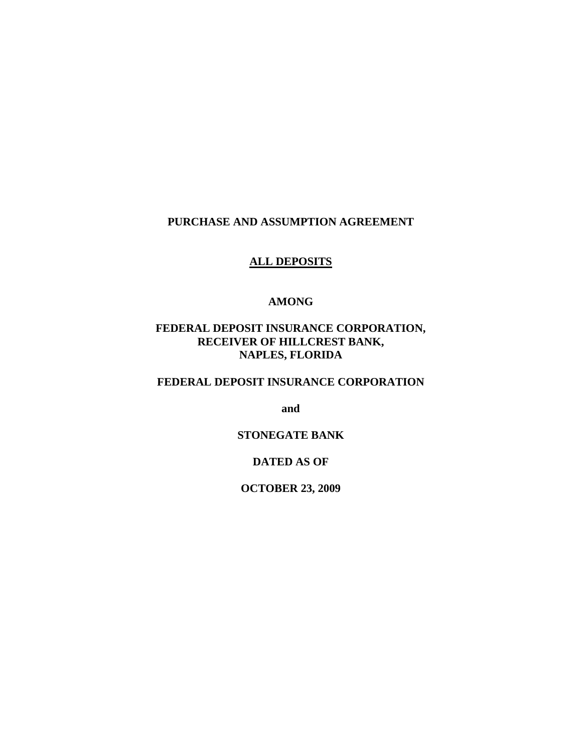#### **PURCHASE AND ASSUMPTION AGREEMENT**

#### **ALL DEPOSITS**

#### **AMONG**

#### **FEDERAL DEPOSIT INSURANCE CORPORATION, RECEIVER OF HILLCREST BANK, NAPLES, FLORIDA**

# **FEDERAL DEPOSIT INSURANCE CORPORATION**

**and** 

## **STONEGATE BANK**

#### **DATED AS OF**

# **OCTOBER 23, 2009**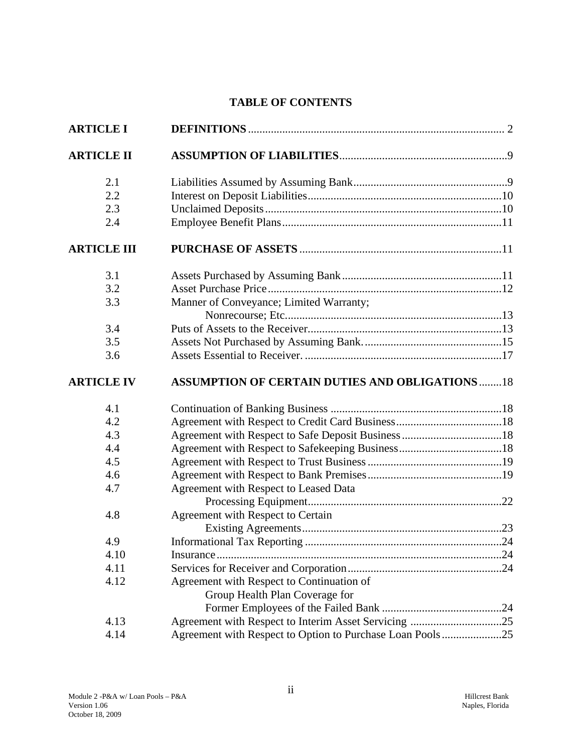# **TABLE OF CONTENTS**

| <b>ARTICLE I</b>   |                                                           |  |
|--------------------|-----------------------------------------------------------|--|
| <b>ARTICLE II</b>  |                                                           |  |
| 2.1                |                                                           |  |
| 2.2                |                                                           |  |
| 2.3                |                                                           |  |
| 2.4                |                                                           |  |
| <b>ARTICLE III</b> |                                                           |  |
| 3.1                |                                                           |  |
| 3.2                |                                                           |  |
| 3.3                | Manner of Conveyance; Limited Warranty;                   |  |
|                    |                                                           |  |
| 3.4                |                                                           |  |
| 3.5                |                                                           |  |
| 3.6                |                                                           |  |
| <b>ARTICLE IV</b>  | <b>ASSUMPTION OF CERTAIN DUTIES AND OBLIGATIONS  18</b>   |  |
| 4.1                |                                                           |  |
| 4.2                |                                                           |  |
| 4.3                |                                                           |  |
| 4.4                |                                                           |  |
| 4.5                |                                                           |  |
| 4.6                |                                                           |  |
| 4.7                | Agreement with Respect to Leased Data                     |  |
|                    |                                                           |  |
| 4.8                | Agreement with Respect to Certain                         |  |
|                    |                                                           |  |
| 4.9                |                                                           |  |
| 4.10               |                                                           |  |
| 4.11               |                                                           |  |
| 4.12               | Agreement with Respect to Continuation of                 |  |
|                    | Group Health Plan Coverage for                            |  |
|                    |                                                           |  |
| 4.13               | Agreement with Respect to Interim Asset Servicing 25      |  |
| 4.14               | Agreement with Respect to Option to Purchase Loan Pools25 |  |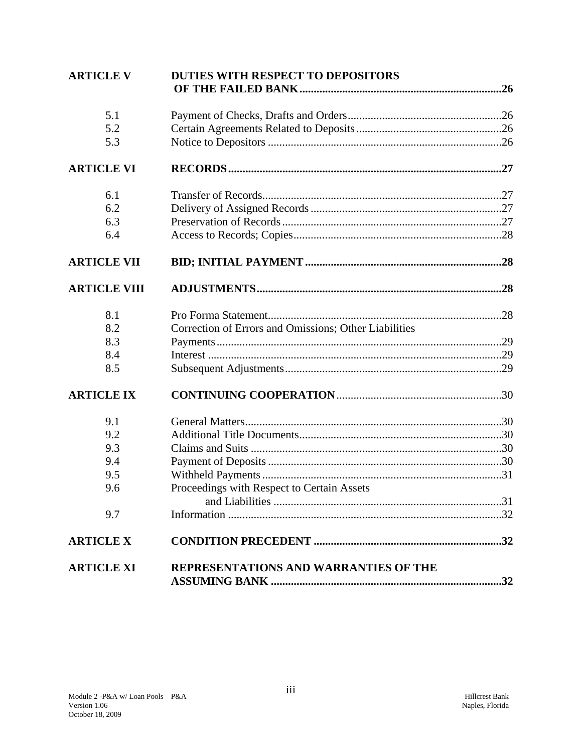| <b>ARTICLE V</b>    | DUTIES WITH RESPECT TO DEPOSITORS                     |  |
|---------------------|-------------------------------------------------------|--|
|                     |                                                       |  |
| 5.1                 |                                                       |  |
| 5.2                 |                                                       |  |
| 5.3                 |                                                       |  |
| <b>ARTICLE VI</b>   |                                                       |  |
| 6.1                 |                                                       |  |
| 6.2                 |                                                       |  |
| 6.3                 |                                                       |  |
| 6.4                 |                                                       |  |
| <b>ARTICLE VII</b>  |                                                       |  |
| <b>ARTICLE VIII</b> |                                                       |  |
| 8.1                 |                                                       |  |
| 8.2                 | Correction of Errors and Omissions; Other Liabilities |  |
| 8.3                 |                                                       |  |
| 8.4                 |                                                       |  |
| 8.5                 |                                                       |  |
| <b>ARTICLE IX</b>   |                                                       |  |
| 9.1                 |                                                       |  |
| 9.2                 |                                                       |  |
| 9.3                 |                                                       |  |
| 9.4                 |                                                       |  |
| 9.5                 |                                                       |  |
| 9.6                 | Proceedings with Respect to Certain Assets            |  |
| 9.7                 |                                                       |  |
| <b>ARTICLE X</b>    |                                                       |  |
| <b>ARTICLE XI</b>   | <b>REPRESENTATIONS AND WARRANTIES OF THE</b>          |  |
|                     |                                                       |  |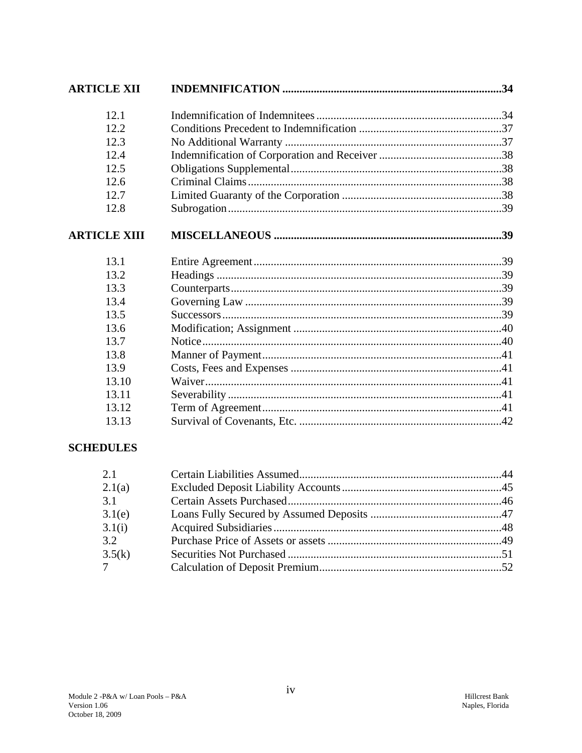| <b>ARTICLE XII</b>  |  |
|---------------------|--|
| 12.1                |  |
| 12.2                |  |
| 12.3                |  |
| 12.4                |  |
|                     |  |
| 12.5                |  |
| 12.6                |  |
| 12.7                |  |
| 12.8                |  |
| <b>ARTICLE XIII</b> |  |
| 13.1                |  |
| 13.2                |  |
| 13.3                |  |
| 13.4                |  |
| 13.5                |  |
| 13.6                |  |
| 13.7                |  |
| 13.8                |  |
| 13.9                |  |
| 13.10               |  |
| 13.11               |  |
| 13.12               |  |
| 13.13               |  |
|                     |  |

# **SCHEDULES**

| 2.1             |  |
|-----------------|--|
| 2.1(a)          |  |
| 3.1             |  |
| 3.1(e)          |  |
| 3.1(i)          |  |
| 3.2             |  |
| 3.5(k)          |  |
| $7\overline{ }$ |  |
|                 |  |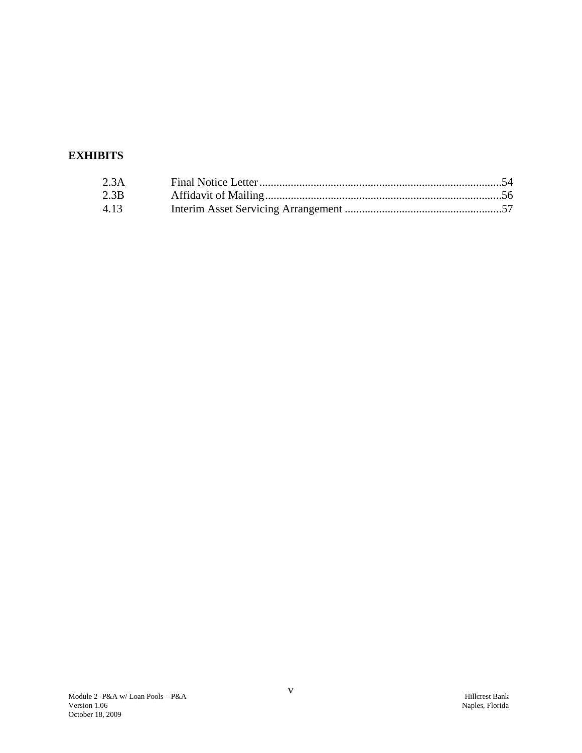# **EXHIBITS**

| 2.3A |  |
|------|--|
| 2.3B |  |
| 4.13 |  |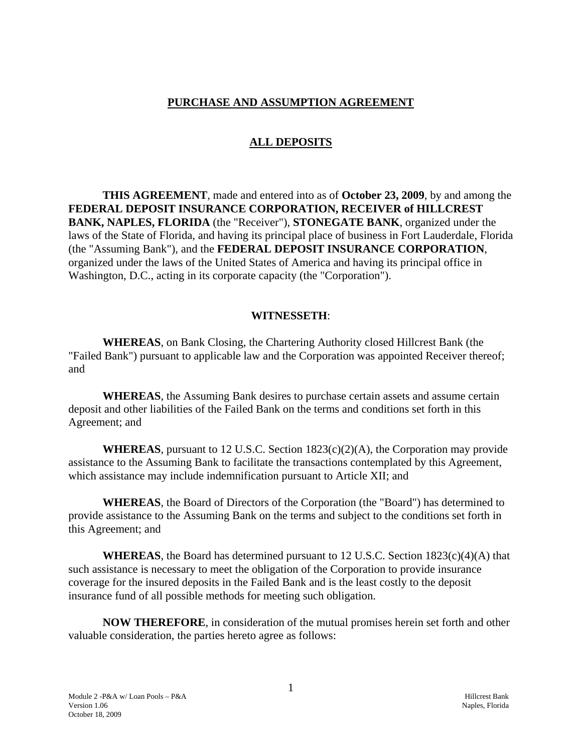## **PURCHASE AND ASSUMPTION AGREEMENT**

# **ALL DEPOSITS**

**THIS AGREEMENT**, made and entered into as of **October 23, 2009**, by and among the **FEDERAL DEPOSIT INSURANCE CORPORATION, RECEIVER of HILLCREST BANK, NAPLES, FLORIDA** (the "Receiver"), **STONEGATE BANK**, organized under the laws of the State of Florida, and having its principal place of business in Fort Lauderdale, Florida (the "Assuming Bank"), and the **FEDERAL DEPOSIT INSURANCE CORPORATION**, organized under the laws of the United States of America and having its principal office in Washington, D.C., acting in its corporate capacity (the "Corporation").

#### **WITNESSETH**:

**WHEREAS**, on Bank Closing, the Chartering Authority closed Hillcrest Bank (the "Failed Bank") pursuant to applicable law and the Corporation was appointed Receiver thereof; and

**WHEREAS**, the Assuming Bank desires to purchase certain assets and assume certain deposit and other liabilities of the Failed Bank on the terms and conditions set forth in this Agreement; and

**WHEREAS**, pursuant to 12 U.S.C. Section 1823(c)(2)(A), the Corporation may provide assistance to the Assuming Bank to facilitate the transactions contemplated by this Agreement, which assistance may include indemnification pursuant to Article XII; and

**WHEREAS**, the Board of Directors of the Corporation (the "Board") has determined to provide assistance to the Assuming Bank on the terms and subject to the conditions set forth in this Agreement; and

**WHEREAS**, the Board has determined pursuant to 12 U.S.C. Section 1823(c)(4)(A) that such assistance is necessary to meet the obligation of the Corporation to provide insurance coverage for the insured deposits in the Failed Bank and is the least costly to the deposit insurance fund of all possible methods for meeting such obligation.

**NOW THEREFORE**, in consideration of the mutual promises herein set forth and other valuable consideration, the parties hereto agree as follows: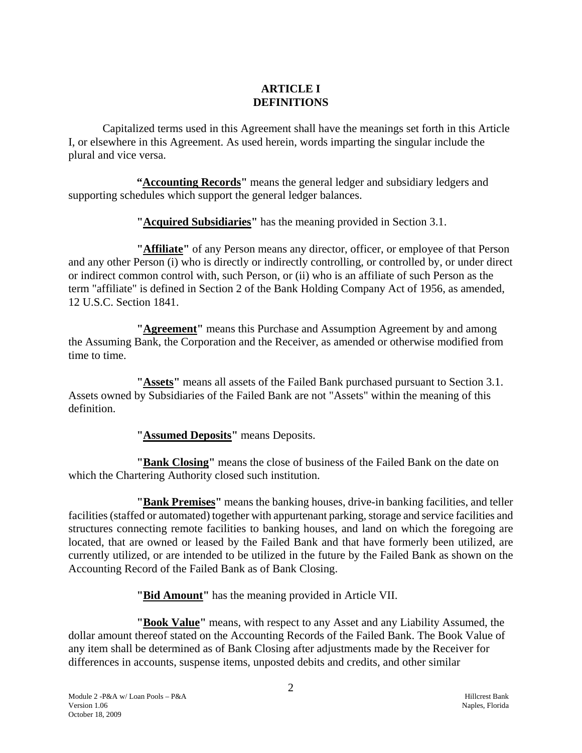# **ARTICLE I DEFINITIONS**

<span id="page-6-1"></span><span id="page-6-0"></span>Capitalized terms used in this Agreement shall have the meanings set forth in this Article I, or elsewhere in this Agreement. As used herein, words imparting the singular include the plural and vice versa.

**"Accounting Records"** means the general ledger and subsidiary ledgers and supporting schedules which support the general ledger balances.

**"Acquired Subsidiaries"** has the meaning provided in Section 3.1.

**"Affiliate"** of any Person means any director, officer, or employee of that Person and any other Person (i) who is directly or indirectly controlling, or controlled by, or under direct or indirect common control with, such Person, or (ii) who is an affiliate of such Person as the term "affiliate" is defined in Section 2 of the Bank Holding Company Act of 1956, as amended, 12 U.S.C. Section 1841.

**"Agreement"** means this Purchase and Assumption Agreement by and among the Assuming Bank, the Corporation and the Receiver, as amended or otherwise modified from time to time.

**"Assets"** means all assets of the Failed Bank purchased pursuant to Section 3.1. Assets owned by Subsidiaries of the Failed Bank are not "Assets" within the meaning of this definition.

**"Assumed Deposits"** means Deposits.

**"Bank Closing"** means the close of business of the Failed Bank on the date on which the Chartering Authority closed such institution.

**"Bank Premises"** means the banking houses, drive-in banking facilities, and teller facilities (staffed or automated) together with appurtenant parking, storage and service facilities and structures connecting remote facilities to banking houses, and land on which the foregoing are located, that are owned or leased by the Failed Bank and that have formerly been utilized, are currently utilized, or are intended to be utilized in the future by the Failed Bank as shown on the Accounting Record of the Failed Bank as of Bank Closing.

**"Bid Amount"** has the meaning provided in Article VII.

**"Book Value"** means, with respect to any Asset and any Liability Assumed, the dollar amount thereof stated on the Accounting Records of the Failed Bank. The Book Value of any item shall be determined as of Bank Closing after adjustments made by the Receiver for differences in accounts, suspense items, unposted debits and credits, and other similar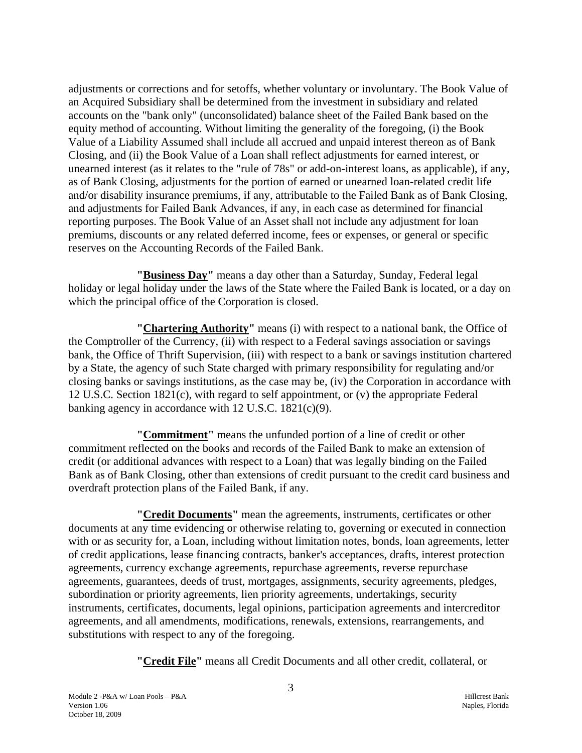adjustments or corrections and for setoffs, whether voluntary or involuntary. The Book Value of an Acquired Subsidiary shall be determined from the investment in subsidiary and related accounts on the "bank only" (unconsolidated) balance sheet of the Failed Bank based on the equity method of accounting. Without limiting the generality of the foregoing, (i) the Book Value of a Liability Assumed shall include all accrued and unpaid interest thereon as of Bank Closing, and (ii) the Book Value of a Loan shall reflect adjustments for earned interest, or unearned interest (as it relates to the "rule of 78s" or add-on-interest loans, as applicable), if any, as of Bank Closing, adjustments for the portion of earned or unearned loan-related credit life and/or disability insurance premiums, if any, attributable to the Failed Bank as of Bank Closing, and adjustments for Failed Bank Advances, if any, in each case as determined for financial reporting purposes. The Book Value of an Asset shall not include any adjustment for loan premiums, discounts or any related deferred income, fees or expenses, or general or specific reserves on the Accounting Records of the Failed Bank.

**"Business Day"** means a day other than a Saturday, Sunday, Federal legal holiday or legal holiday under the laws of the State where the Failed Bank is located, or a day on which the principal office of the Corporation is closed.

**"Chartering Authority"** means (i) with respect to a national bank, the Office of the Comptroller of the Currency, (ii) with respect to a Federal savings association or savings bank, the Office of Thrift Supervision, (iii) with respect to a bank or savings institution chartered by a State, the agency of such State charged with primary responsibility for regulating and/or closing banks or savings institutions, as the case may be, (iv) the Corporation in accordance with 12 U.S.C. Section 1821(c), with regard to self appointment, or (v) the appropriate Federal banking agency in accordance with 12 U.S.C. 1821(c)(9).

**"Commitment"** means the unfunded portion of a line of credit or other commitment reflected on the books and records of the Failed Bank to make an extension of credit (or additional advances with respect to a Loan) that was legally binding on the Failed Bank as of Bank Closing, other than extensions of credit pursuant to the credit card business and overdraft protection plans of the Failed Bank, if any.

**"Credit Documents"** mean the agreements, instruments, certificates or other documents at any time evidencing or otherwise relating to, governing or executed in connection with or as security for, a Loan, including without limitation notes, bonds, loan agreements, letter of credit applications, lease financing contracts, banker's acceptances, drafts, interest protection agreements, currency exchange agreements, repurchase agreements, reverse repurchase agreements, guarantees, deeds of trust, mortgages, assignments, security agreements, pledges, subordination or priority agreements, lien priority agreements, undertakings, security instruments, certificates, documents, legal opinions, participation agreements and intercreditor agreements, and all amendments, modifications, renewals, extensions, rearrangements, and substitutions with respect to any of the foregoing.

**"Credit File"** means all Credit Documents and all other credit, collateral, or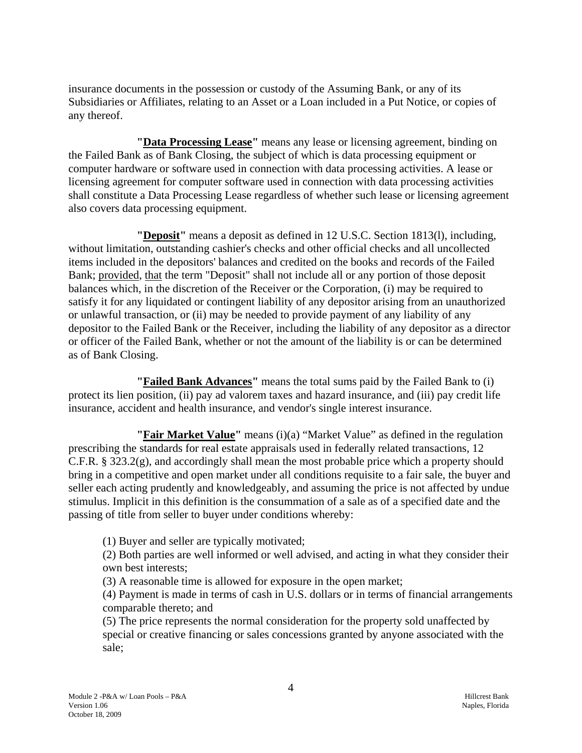insurance documents in the possession or custody of the Assuming Bank, or any of its Subsidiaries or Affiliates, relating to an Asset or a Loan included in a Put Notice, or copies of any thereof.

**"Data Processing Lease"** means any lease or licensing agreement, binding on the Failed Bank as of Bank Closing, the subject of which is data processing equipment or computer hardware or software used in connection with data processing activities. A lease or licensing agreement for computer software used in connection with data processing activities shall constitute a Data Processing Lease regardless of whether such lease or licensing agreement also covers data processing equipment.

**"Deposit"** means a deposit as defined in 12 U.S.C. Section 1813(l), including, without limitation, outstanding cashier's checks and other official checks and all uncollected items included in the depositors' balances and credited on the books and records of the Failed Bank; provided, that the term "Deposit" shall not include all or any portion of those deposit balances which, in the discretion of the Receiver or the Corporation, (i) may be required to satisfy it for any liquidated or contingent liability of any depositor arising from an unauthorized or unlawful transaction, or (ii) may be needed to provide payment of any liability of any depositor to the Failed Bank or the Receiver, including the liability of any depositor as a director or officer of the Failed Bank, whether or not the amount of the liability is or can be determined as of Bank Closing.

**"Failed Bank Advances"** means the total sums paid by the Failed Bank to (i) protect its lien position, (ii) pay ad valorem taxes and hazard insurance, and (iii) pay credit life insurance, accident and health insurance, and vendor's single interest insurance.

**"Fair Market Value"** means (i)(a) "Market Value" as defined in the regulation prescribing the standards for real estate appraisals used in federally related transactions, 12 C.F.R. § 323.2(g), and accordingly shall mean the most probable price which a property should bring in a competitive and open market under all conditions requisite to a fair sale, the buyer and seller each acting prudently and knowledgeably, and assuming the price is not affected by undue stimulus. Implicit in this definition is the consummation of a sale as of a specified date and the passing of title from seller to buyer under conditions whereby:

(1) Buyer and seller are typically motivated;

(2) Both parties are well informed or well advised, and acting in what they consider their own best interests;

(3) A reasonable time is allowed for exposure in the open market;

(4) Payment is made in terms of cash in U.S. dollars or in terms of financial arrangements comparable thereto; and

(5) The price represents the normal consideration for the property sold unaffected by special or creative financing or sales concessions granted by anyone associated with the sale;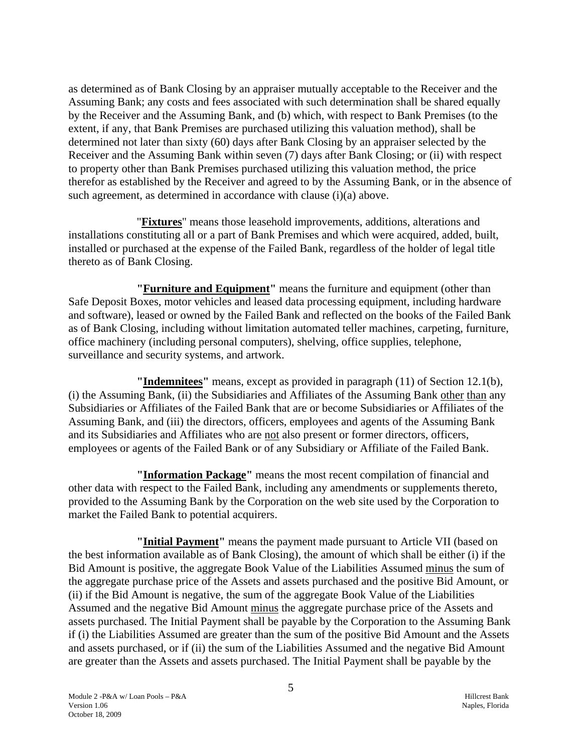as determined as of Bank Closing by an appraiser mutually acceptable to the Receiver and the Assuming Bank; any costs and fees associated with such determination shall be shared equally by the Receiver and the Assuming Bank, and (b) which, with respect to Bank Premises (to the extent, if any, that Bank Premises are purchased utilizing this valuation method), shall be determined not later than sixty (60) days after Bank Closing by an appraiser selected by the Receiver and the Assuming Bank within seven (7) days after Bank Closing; or (ii) with respect to property other than Bank Premises purchased utilizing this valuation method, the price therefor as established by the Receiver and agreed to by the Assuming Bank, or in the absence of such agreement, as determined in accordance with clause (i)(a) above.

"**Fixtures**" means those leasehold improvements, additions, alterations and installations constituting all or a part of Bank Premises and which were acquired, added, built, installed or purchased at the expense of the Failed Bank, regardless of the holder of legal title thereto as of Bank Closing.

**"Furniture and Equipment"** means the furniture and equipment (other than Safe Deposit Boxes, motor vehicles and leased data processing equipment, including hardware and software), leased or owned by the Failed Bank and reflected on the books of the Failed Bank as of Bank Closing, including without limitation automated teller machines, carpeting, furniture, office machinery (including personal computers), shelving, office supplies, telephone, surveillance and security systems, and artwork.

**"Indemnitees"** means, except as provided in paragraph (11) of Section 12.1(b), (i) the Assuming Bank, (ii) the Subsidiaries and Affiliates of the Assuming Bank other than any Subsidiaries or Affiliates of the Failed Bank that are or become Subsidiaries or Affiliates of the Assuming Bank, and (iii) the directors, officers, employees and agents of the Assuming Bank and its Subsidiaries and Affiliates who are not also present or former directors, officers, employees or agents of the Failed Bank or of any Subsidiary or Affiliate of the Failed Bank.

**"Information Package"** means the most recent compilation of financial and other data with respect to the Failed Bank, including any amendments or supplements thereto, provided to the Assuming Bank by the Corporation on the web site used by the Corporation to market the Failed Bank to potential acquirers.

**"Initial Payment"** means the payment made pursuant to Article VII (based on the best information available as of Bank Closing), the amount of which shall be either (i) if the Bid Amount is positive, the aggregate Book Value of the Liabilities Assumed minus the sum of the aggregate purchase price of the Assets and assets purchased and the positive Bid Amount, or (ii) if the Bid Amount is negative, the sum of the aggregate Book Value of the Liabilities Assumed and the negative Bid Amount minus the aggregate purchase price of the Assets and assets purchased. The Initial Payment shall be payable by the Corporation to the Assuming Bank if (i) the Liabilities Assumed are greater than the sum of the positive Bid Amount and the Assets and assets purchased, or if (ii) the sum of the Liabilities Assumed and the negative Bid Amount are greater than the Assets and assets purchased. The Initial Payment shall be payable by the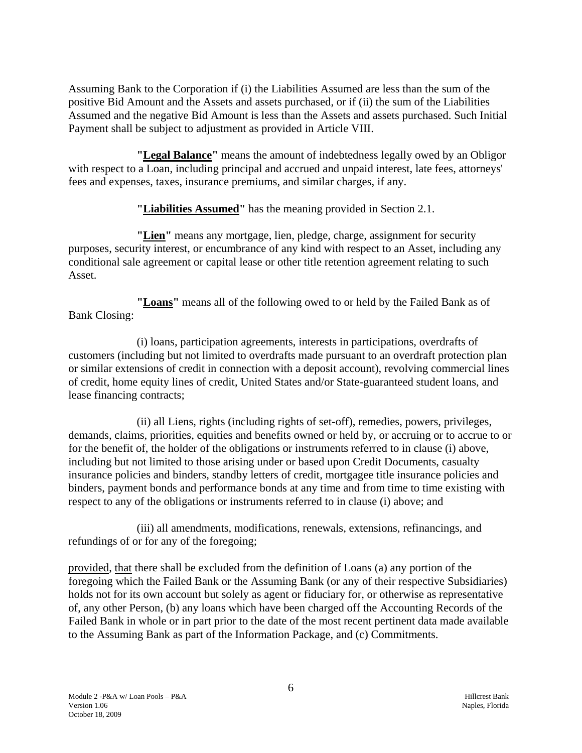Assuming Bank to the Corporation if (i) the Liabilities Assumed are less than the sum of the positive Bid Amount and the Assets and assets purchased, or if (ii) the sum of the Liabilities Assumed and the negative Bid Amount is less than the Assets and assets purchased. Such Initial Payment shall be subject to adjustment as provided in Article VIII.

**"Legal Balance"** means the amount of indebtedness legally owed by an Obligor with respect to a Loan, including principal and accrued and unpaid interest, late fees, attorneys' fees and expenses, taxes, insurance premiums, and similar charges, if any.

**"Liabilities Assumed"** has the meaning provided in Section 2.1.

**"Lien"** means any mortgage, lien, pledge, charge, assignment for security purposes, security interest, or encumbrance of any kind with respect to an Asset, including any conditional sale agreement or capital lease or other title retention agreement relating to such Asset.

**"Loans"** means all of the following owed to or held by the Failed Bank as of Bank Closing:

(i) loans, participation agreements, interests in participations, overdrafts of customers (including but not limited to overdrafts made pursuant to an overdraft protection plan or similar extensions of credit in connection with a deposit account), revolving commercial lines of credit, home equity lines of credit, United States and/or State-guaranteed student loans, and lease financing contracts;

(ii) all Liens, rights (including rights of set-off), remedies, powers, privileges, demands, claims, priorities, equities and benefits owned or held by, or accruing or to accrue to or for the benefit of, the holder of the obligations or instruments referred to in clause (i) above, including but not limited to those arising under or based upon Credit Documents, casualty insurance policies and binders, standby letters of credit, mortgagee title insurance policies and binders, payment bonds and performance bonds at any time and from time to time existing with respect to any of the obligations or instruments referred to in clause (i) above; and

(iii) all amendments, modifications, renewals, extensions, refinancings, and refundings of or for any of the foregoing;

provided, that there shall be excluded from the definition of Loans (a) any portion of the foregoing which the Failed Bank or the Assuming Bank (or any of their respective Subsidiaries) holds not for its own account but solely as agent or fiduciary for, or otherwise as representative of, any other Person, (b) any loans which have been charged off the Accounting Records of the Failed Bank in whole or in part prior to the date of the most recent pertinent data made available to the Assuming Bank as part of the Information Package, and (c) Commitments.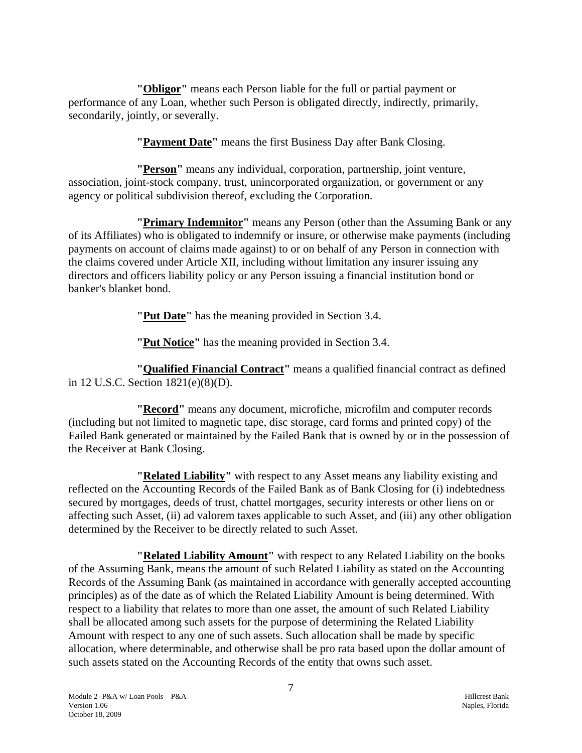**"Obligor"** means each Person liable for the full or partial payment or performance of any Loan, whether such Person is obligated directly, indirectly, primarily, secondarily, jointly, or severally.

**"Payment Date"** means the first Business Day after Bank Closing.

**"Person"** means any individual, corporation, partnership, joint venture, association, joint-stock company, trust, unincorporated organization, or government or any agency or political subdivision thereof, excluding the Corporation.

**"Primary Indemnitor"** means any Person (other than the Assuming Bank or any of its Affiliates) who is obligated to indemnify or insure, or otherwise make payments (including payments on account of claims made against) to or on behalf of any Person in connection with the claims covered under Article XII, including without limitation any insurer issuing any directors and officers liability policy or any Person issuing a financial institution bond or banker's blanket bond.

**"Put Date"** has the meaning provided in Section 3.4.

**"Put Notice"** has the meaning provided in Section 3.4.

**"Qualified Financial Contract"** means a qualified financial contract as defined in 12 U.S.C. Section 1821(e)(8)(D).

**"Record"** means any document, microfiche, microfilm and computer records (including but not limited to magnetic tape, disc storage, card forms and printed copy) of the Failed Bank generated or maintained by the Failed Bank that is owned by or in the possession of the Receiver at Bank Closing.

**"Related Liability"** with respect to any Asset means any liability existing and reflected on the Accounting Records of the Failed Bank as of Bank Closing for (i) indebtedness secured by mortgages, deeds of trust, chattel mortgages, security interests or other liens on or affecting such Asset, (ii) ad valorem taxes applicable to such Asset, and (iii) any other obligation determined by the Receiver to be directly related to such Asset.

**"Related Liability Amount"** with respect to any Related Liability on the books of the Assuming Bank, means the amount of such Related Liability as stated on the Accounting Records of the Assuming Bank (as maintained in accordance with generally accepted accounting principles) as of the date as of which the Related Liability Amount is being determined. With respect to a liability that relates to more than one asset, the amount of such Related Liability shall be allocated among such assets for the purpose of determining the Related Liability Amount with respect to any one of such assets. Such allocation shall be made by specific allocation, where determinable, and otherwise shall be pro rata based upon the dollar amount of such assets stated on the Accounting Records of the entity that owns such asset.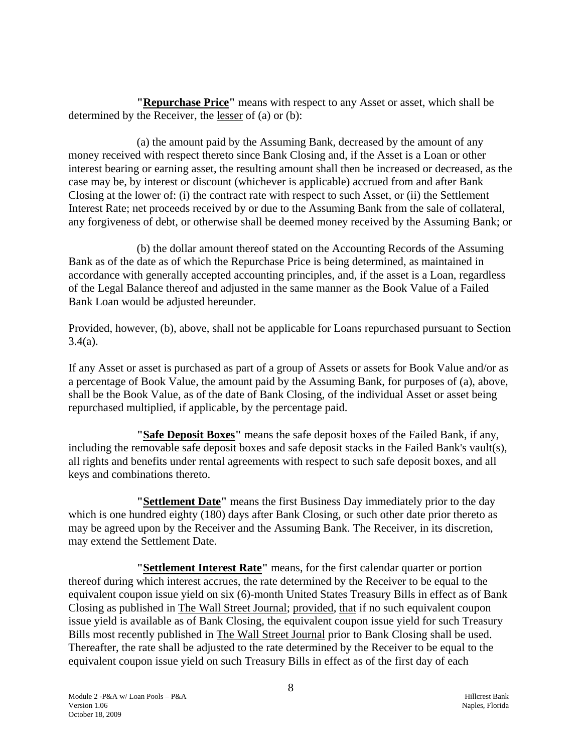**"Repurchase Price"** means with respect to any Asset or asset, which shall be determined by the Receiver, the lesser of (a) or (b):

(a) the amount paid by the Assuming Bank, decreased by the amount of any money received with respect thereto since Bank Closing and, if the Asset is a Loan or other interest bearing or earning asset, the resulting amount shall then be increased or decreased, as the case may be, by interest or discount (whichever is applicable) accrued from and after Bank Closing at the lower of: (i) the contract rate with respect to such Asset, or (ii) the Settlement Interest Rate; net proceeds received by or due to the Assuming Bank from the sale of collateral, any forgiveness of debt, or otherwise shall be deemed money received by the Assuming Bank; or

(b) the dollar amount thereof stated on the Accounting Records of the Assuming Bank as of the date as of which the Repurchase Price is being determined, as maintained in accordance with generally accepted accounting principles, and, if the asset is a Loan, regardless of the Legal Balance thereof and adjusted in the same manner as the Book Value of a Failed Bank Loan would be adjusted hereunder.

Provided, however, (b), above, shall not be applicable for Loans repurchased pursuant to Section 3.4(a).

If any Asset or asset is purchased as part of a group of Assets or assets for Book Value and/or as a percentage of Book Value, the amount paid by the Assuming Bank, for purposes of (a), above, shall be the Book Value, as of the date of Bank Closing, of the individual Asset or asset being repurchased multiplied, if applicable, by the percentage paid.

**"Safe Deposit Boxes"** means the safe deposit boxes of the Failed Bank, if any, including the removable safe deposit boxes and safe deposit stacks in the Failed Bank's vault(s), all rights and benefits under rental agreements with respect to such safe deposit boxes, and all keys and combinations thereto.

**"Settlement Date"** means the first Business Day immediately prior to the day which is one hundred eighty (180) days after Bank Closing, or such other date prior thereto as may be agreed upon by the Receiver and the Assuming Bank. The Receiver, in its discretion, may extend the Settlement Date.

**"Settlement Interest Rate"** means, for the first calendar quarter or portion thereof during which interest accrues, the rate determined by the Receiver to be equal to the equivalent coupon issue yield on six (6)-month United States Treasury Bills in effect as of Bank Closing as published in The Wall Street Journal; provided, that if no such equivalent coupon issue yield is available as of Bank Closing, the equivalent coupon issue yield for such Treasury Bills most recently published in The Wall Street Journal prior to Bank Closing shall be used. Thereafter, the rate shall be adjusted to the rate determined by the Receiver to be equal to the equivalent coupon issue yield on such Treasury Bills in effect as of the first day of each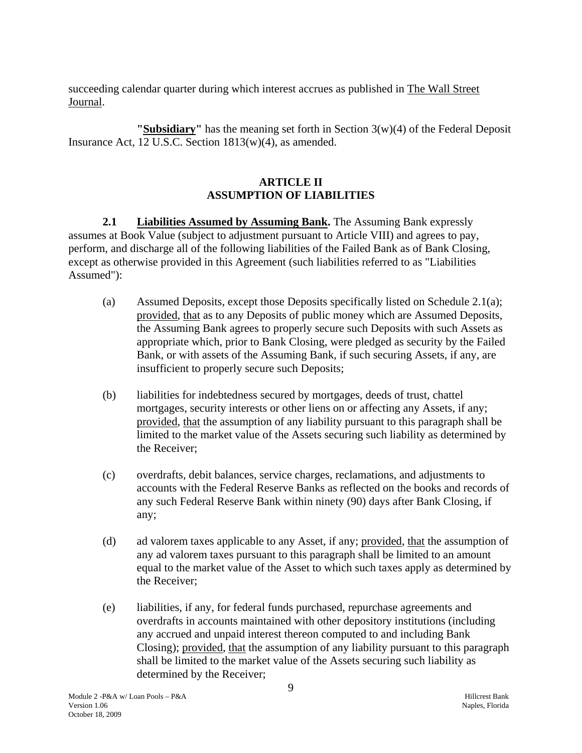succeeding calendar quarter during which interest accrues as published in The Wall Street Journal.

**"Subsidiary"** has the meaning set forth in Section 3(w)(4) of the Federal Deposit Insurance Act, 12 U.S.C. Section 1813(w)(4), as amended.

## **ARTICLE II ASSUMPTION OF LIABILITIES**

<span id="page-13-1"></span><span id="page-13-0"></span>**2.1 Liabilities Assumed by Assuming Bank.** The Assuming Bank expressly assumes at Book Value (subject to adjustment pursuant to Article VIII) and agrees to pay, perform, and discharge all of the following liabilities of the Failed Bank as of Bank Closing, except as otherwise provided in this Agreement (such liabilities referred to as "Liabilities Assumed"):

- (a) Assumed Deposits, except those Deposits specifically listed on Schedule 2.1(a); provided, that as to any Deposits of public money which are Assumed Deposits, the Assuming Bank agrees to properly secure such Deposits with such Assets as appropriate which, prior to Bank Closing, were pledged as security by the Failed Bank, or with assets of the Assuming Bank, if such securing Assets, if any, are insufficient to properly secure such Deposits;
- (b) liabilities for indebtedness secured by mortgages, deeds of trust, chattel mortgages, security interests or other liens on or affecting any Assets, if any; provided, that the assumption of any liability pursuant to this paragraph shall be limited to the market value of the Assets securing such liability as determined by the Receiver;
- (c) overdrafts, debit balances, service charges, reclamations, and adjustments to accounts with the Federal Reserve Banks as reflected on the books and records of any such Federal Reserve Bank within ninety (90) days after Bank Closing, if any;
- (d) ad valorem taxes applicable to any Asset, if any; provided, that the assumption of any ad valorem taxes pursuant to this paragraph shall be limited to an amount equal to the market value of the Asset to which such taxes apply as determined by the Receiver;
- (e) liabilities, if any, for federal funds purchased, repurchase agreements and overdrafts in accounts maintained with other depository institutions (including any accrued and unpaid interest thereon computed to and including Bank Closing); provided, that the assumption of any liability pursuant to this paragraph shall be limited to the market value of the Assets securing such liability as determined by the Receiver;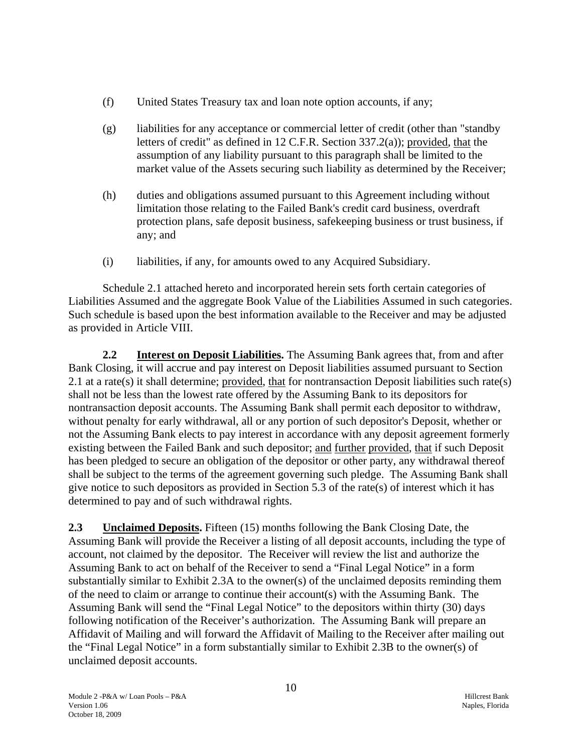- (f) United States Treasury tax and loan note option accounts, if any;
- (g) liabilities for any acceptance or commercial letter of credit (other than "standby letters of credit" as defined in 12 C.F.R. Section 337.2(a)); provided, that the assumption of any liability pursuant to this paragraph shall be limited to the market value of the Assets securing such liability as determined by the Receiver;
- (h) duties and obligations assumed pursuant to this Agreement including without limitation those relating to the Failed Bank's credit card business, overdraft protection plans, safe deposit business, safekeeping business or trust business, if any; and
- (i) liabilities, if any, for amounts owed to any Acquired Subsidiary.

Schedule 2.1 attached hereto and incorporated herein sets forth certain categories of Liabilities Assumed and the aggregate Book Value of the Liabilities Assumed in such categories. Such schedule is based upon the best information available to the Receiver and may be adjusted as provided in Article VIII.

<span id="page-14-0"></span>**2.2 Interest on Deposit Liabilities.** The Assuming Bank agrees that, from and after Bank Closing, it will accrue and pay interest on Deposit liabilities assumed pursuant to Section 2.1 at a rate(s) it shall determine; provided, that for nontransaction Deposit liabilities such rate(s) shall not be less than the lowest rate offered by the Assuming Bank to its depositors for nontransaction deposit accounts. The Assuming Bank shall permit each depositor to withdraw, without penalty for early withdrawal, all or any portion of such depositor's Deposit, whether or not the Assuming Bank elects to pay interest in accordance with any deposit agreement formerly existing between the Failed Bank and such depositor; and further provided, that if such Deposit has been pledged to secure an obligation of the depositor or other party, any withdrawal thereof shall be subject to the terms of the agreement governing such pledge. The Assuming Bank shall give notice to such depositors as provided in Section 5.3 of the rate(s) of interest which it has determined to pay and of such withdrawal rights.

<span id="page-14-1"></span>**2.3 Unclaimed Deposits.** Fifteen (15) months following the Bank Closing Date, the Assuming Bank will provide the Receiver a listing of all deposit accounts, including the type of account, not claimed by the depositor. The Receiver will review the list and authorize the Assuming Bank to act on behalf of the Receiver to send a "Final Legal Notice" in a form substantially similar to Exhibit 2.3A to the owner(s) of the unclaimed deposits reminding them of the need to claim or arrange to continue their account(s) with the Assuming Bank. The Assuming Bank will send the "Final Legal Notice" to the depositors within thirty (30) days following notification of the Receiver's authorization. The Assuming Bank will prepare an Affidavit of Mailing and will forward the Affidavit of Mailing to the Receiver after mailing out the "Final Legal Notice" in a form substantially similar to Exhibit 2.3B to the owner(s) of unclaimed deposit accounts.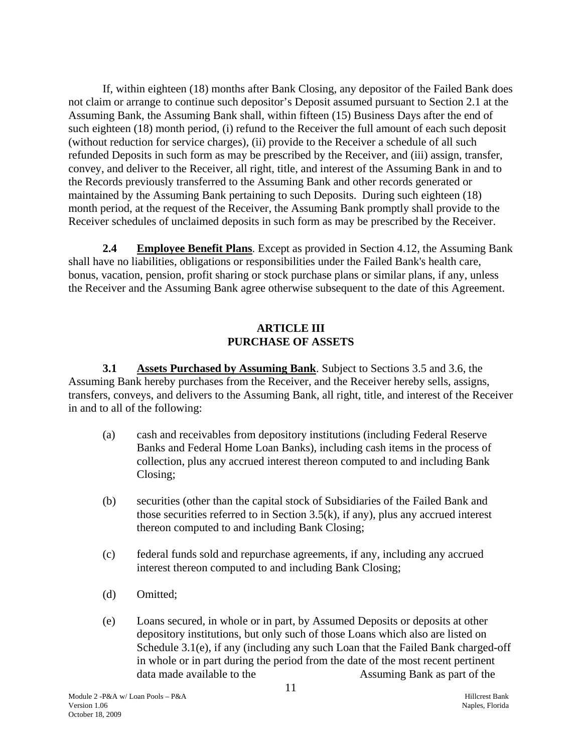If, within eighteen (18) months after Bank Closing, any depositor of the Failed Bank does not claim or arrange to continue such depositor's Deposit assumed pursuant to Section 2.1 at the Assuming Bank, the Assuming Bank shall, within fifteen (15) Business Days after the end of such eighteen (18) month period, (i) refund to the Receiver the full amount of each such deposit (without reduction for service charges), (ii) provide to the Receiver a schedule of all such refunded Deposits in such form as may be prescribed by the Receiver, and (iii) assign, transfer, convey, and deliver to the Receiver, all right, title, and interest of the Assuming Bank in and to the Records previously transferred to the Assuming Bank and other records generated or maintained by the Assuming Bank pertaining to such Deposits. During such eighteen (18) month period, at the request of the Receiver, the Assuming Bank promptly shall provide to the Receiver schedules of unclaimed deposits in such form as may be prescribed by the Receiver.

<span id="page-15-0"></span>**2.4 Employee Benefit Plans**. Except as provided in Section 4.12, the Assuming Bank shall have no liabilities, obligations or responsibilities under the Failed Bank's health care, bonus, vacation, pension, profit sharing or stock purchase plans or similar plans, if any, unless the Receiver and the Assuming Bank agree otherwise subsequent to the date of this Agreement.

#### **ARTICLE III PURCHASE OF ASSETS**

<span id="page-15-2"></span><span id="page-15-1"></span>**3.1 Assets Purchased by Assuming Bank**. Subject to Sections 3.5 and 3.6, the Assuming Bank hereby purchases from the Receiver, and the Receiver hereby sells, assigns, transfers, conveys, and delivers to the Assuming Bank, all right, title, and interest of the Receiver in and to all of the following:

- (a) cash and receivables from depository institutions (including Federal Reserve Banks and Federal Home Loan Banks), including cash items in the process of collection, plus any accrued interest thereon computed to and including Bank Closing;
- (b) securities (other than the capital stock of Subsidiaries of the Failed Bank and those securities referred to in Section  $3.5(k)$ , if any), plus any accrued interest thereon computed to and including Bank Closing;
- (c) federal funds sold and repurchase agreements, if any, including any accrued interest thereon computed to and including Bank Closing;
- (d) Omitted;
- (e) Loans secured, in whole or in part, by Assumed Deposits or deposits at other depository institutions, but only such of those Loans which also are listed on Schedule 3.1(e), if any (including any such Loan that the Failed Bank charged-off in whole or in part during the period from the date of the most recent pertinent data made available to the Assuming Bank as part of the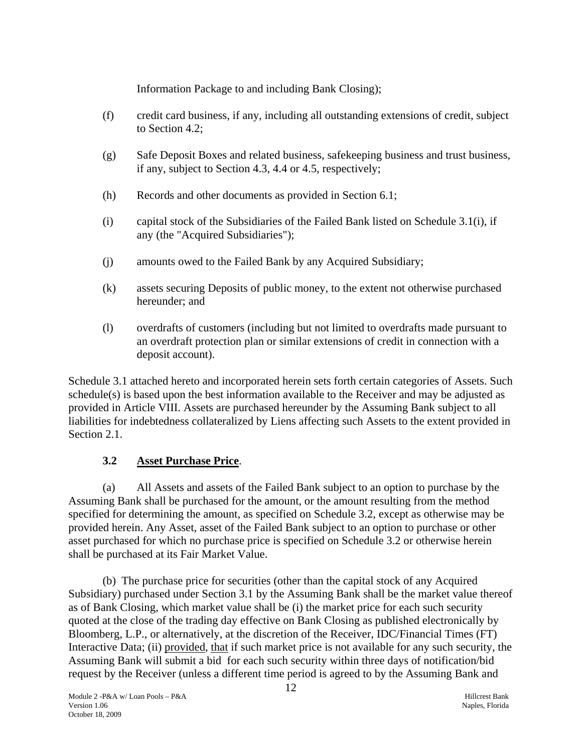Information Package to and including Bank Closing);

- (f) credit card business, if any, including all outstanding extensions of credit, subject to Section 4.2;
- (g) Safe Deposit Boxes and related business, safekeeping business and trust business, if any, subject to Section 4.3, 4.4 or 4.5, respectively;
- (h) Records and other documents as provided in Section 6.1;
- $(i)$  capital stock of the Subsidiaries of the Failed Bank listed on Schedule 3.1(i), if any (the "Acquired Subsidiaries");
- (j) amounts owed to the Failed Bank by any Acquired Subsidiary;
- (k) assets securing Deposits of public money, to the extent not otherwise purchased hereunder; and
- (l) overdrafts of customers (including but not limited to overdrafts made pursuant to an overdraft protection plan or similar extensions of credit in connection with a deposit account).

Schedule 3.1 attached hereto and incorporated herein sets forth certain categories of Assets. Such schedule(s) is based upon the best information available to the Receiver and may be adjusted as provided in Article VIII. Assets are purchased hereunder by the Assuming Bank subject to all liabilities for indebtedness collateralized by Liens affecting such Assets to the extent provided in Section 2.1.

# **3.2 Asset Purchase Price**.

<span id="page-16-0"></span>(a) All Assets and assets of the Failed Bank subject to an option to purchase by the Assuming Bank shall be purchased for the amount, or the amount resulting from the method specified for determining the amount, as specified on Schedule 3.2, except as otherwise may be provided herein. Any Asset, asset of the Failed Bank subject to an option to purchase or other asset purchased for which no purchase price is specified on Schedule 3.2 or otherwise herein shall be purchased at its Fair Market Value.

(b) The purchase price for securities (other than the capital stock of any Acquired Subsidiary) purchased under Section 3.1 by the Assuming Bank shall be the market value thereof as of Bank Closing, which market value shall be (i) the market price for each such security quoted at the close of the trading day effective on Bank Closing as published electronically by Bloomberg, L.P., or alternatively, at the discretion of the Receiver, IDC/Financial Times (FT) Interactive Data; (ii) provided, that if such market price is not available for any such security, the Assuming Bank will submit a bid for each such security within three days of notification/bid request by the Receiver (unless a different time period is agreed to by the Assuming Bank and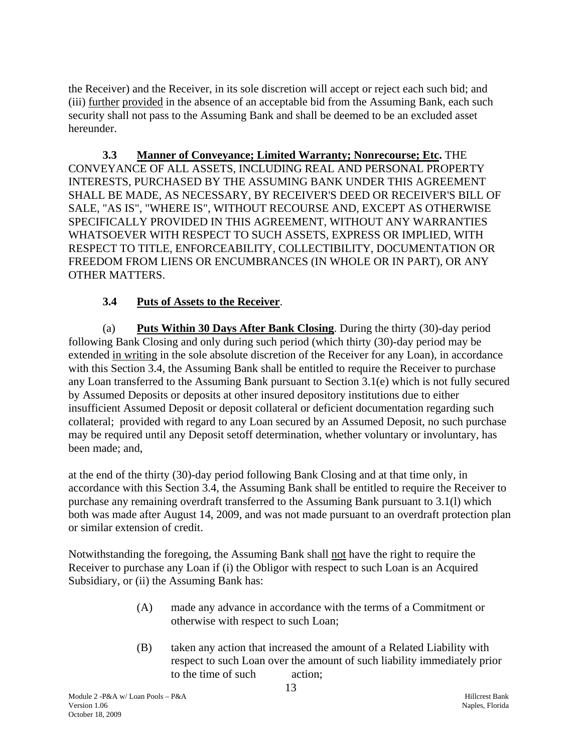the Receiver) and the Receiver, in its sole discretion will accept or reject each such bid; and (iii) further provided in the absence of an acceptable bid from the Assuming Bank, each such security shall not pass to the Assuming Bank and shall be deemed to be an excluded asset hereunder.

<span id="page-17-0"></span>**3.3 Manner of Conveyance; Limited Warranty; Nonrecourse; Etc.** THE CONVEYANCE OF ALL ASSETS, INCLUDING REAL AND PERSONAL PROPERTY INTERESTS, PURCHASED BY THE ASSUMING BANK UNDER THIS AGREEMENT SHALL BE MADE, AS NECESSARY, BY RECEIVER'S DEED OR RECEIVER'S BILL OF SALE, "AS IS", "WHERE IS", WITHOUT RECOURSE AND, EXCEPT AS OTHERWISE SPECIFICALLY PROVIDED IN THIS AGREEMENT, WITHOUT ANY WARRANTIES WHATSOEVER WITH RESPECT TO SUCH ASSETS, EXPRESS OR IMPLIED, WITH RESPECT TO TITLE, ENFORCEABILITY, COLLECTIBILITY, DOCUMENTATION OR FREEDOM FROM LIENS OR ENCUMBRANCES (IN WHOLE OR IN PART), OR ANY OTHER MATTERS.

# **3.4 Puts of Assets to the Receiver**.

<span id="page-17-1"></span>(a) **Puts Within 30 Days After Bank Closing**. During the thirty (30)-day period following Bank Closing and only during such period (which thirty (30)-day period may be extended in writing in the sole absolute discretion of the Receiver for any Loan), in accordance with this Section 3.4, the Assuming Bank shall be entitled to require the Receiver to purchase any Loan transferred to the Assuming Bank pursuant to Section 3.1(e) which is not fully secured by Assumed Deposits or deposits at other insured depository institutions due to either insufficient Assumed Deposit or deposit collateral or deficient documentation regarding such collateral; provided with regard to any Loan secured by an Assumed Deposit, no such purchase may be required until any Deposit setoff determination, whether voluntary or involuntary, has been made; and,

at the end of the thirty (30)-day period following Bank Closing and at that time only, in accordance with this Section 3.4, the Assuming Bank shall be entitled to require the Receiver to purchase any remaining overdraft transferred to the Assuming Bank pursuant to 3.1(l) which both was made after August 14, 2009, and was not made pursuant to an overdraft protection plan or similar extension of credit.

Notwithstanding the foregoing, the Assuming Bank shall not have the right to require the Receiver to purchase any Loan if (i) the Obligor with respect to such Loan is an Acquired Subsidiary, or (ii) the Assuming Bank has:

- (A) made any advance in accordance with the terms of a Commitment or otherwise with respect to such Loan;
- (B) taken any action that increased the amount of a Related Liability with respect to such Loan over the amount of such liability immediately prior to the time of such action;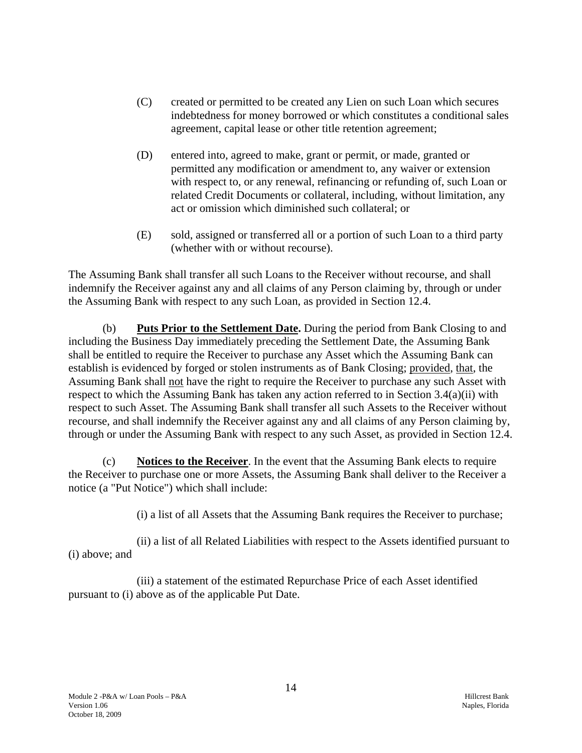- (C) created or permitted to be created any Lien on such Loan which secures indebtedness for money borrowed or which constitutes a conditional sales agreement, capital lease or other title retention agreement;
- (D) entered into, agreed to make, grant or permit, or made, granted or permitted any modification or amendment to, any waiver or extension with respect to, or any renewal, refinancing or refunding of, such Loan or related Credit Documents or collateral, including, without limitation, any act or omission which diminished such collateral; or
- (E) sold, assigned or transferred all or a portion of such Loan to a third party (whether with or without recourse).

The Assuming Bank shall transfer all such Loans to the Receiver without recourse, and shall indemnify the Receiver against any and all claims of any Person claiming by, through or under the Assuming Bank with respect to any such Loan, as provided in Section 12.4.

(b) **Puts Prior to the Settlement Date.** During the period from Bank Closing to and including the Business Day immediately preceding the Settlement Date, the Assuming Bank shall be entitled to require the Receiver to purchase any Asset which the Assuming Bank can establish is evidenced by forged or stolen instruments as of Bank Closing; provided, that, the Assuming Bank shall not have the right to require the Receiver to purchase any such Asset with respect to which the Assuming Bank has taken any action referred to in Section 3.4(a)(ii) with respect to such Asset. The Assuming Bank shall transfer all such Assets to the Receiver without recourse, and shall indemnify the Receiver against any and all claims of any Person claiming by, through or under the Assuming Bank with respect to any such Asset, as provided in Section 12.4.

(c) **Notices to the Receiver**. In the event that the Assuming Bank elects to require the Receiver to purchase one or more Assets, the Assuming Bank shall deliver to the Receiver a notice (a "Put Notice") which shall include:

(i) a list of all Assets that the Assuming Bank requires the Receiver to purchase;

(ii) a list of all Related Liabilities with respect to the Assets identified pursuant to (i) above; and

(iii) a statement of the estimated Repurchase Price of each Asset identified pursuant to (i) above as of the applicable Put Date.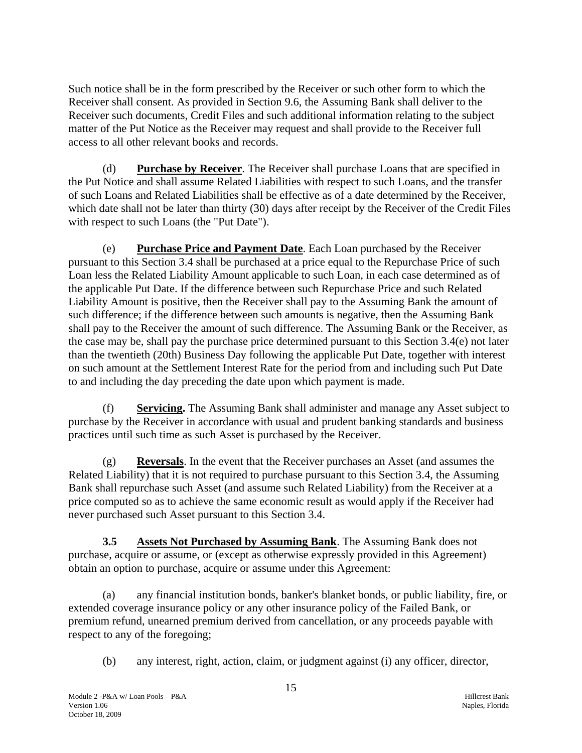Such notice shall be in the form prescribed by the Receiver or such other form to which the Receiver shall consent. As provided in Section 9.6, the Assuming Bank shall deliver to the Receiver such documents, Credit Files and such additional information relating to the subject matter of the Put Notice as the Receiver may request and shall provide to the Receiver full access to all other relevant books and records.

(d) **Purchase by Receiver**. The Receiver shall purchase Loans that are specified in the Put Notice and shall assume Related Liabilities with respect to such Loans, and the transfer of such Loans and Related Liabilities shall be effective as of a date determined by the Receiver, which date shall not be later than thirty (30) days after receipt by the Receiver of the Credit Files with respect to such Loans (the "Put Date").

(e) **Purchase Price and Payment Date**. Each Loan purchased by the Receiver pursuant to this Section 3.4 shall be purchased at a price equal to the Repurchase Price of such Loan less the Related Liability Amount applicable to such Loan, in each case determined as of the applicable Put Date. If the difference between such Repurchase Price and such Related Liability Amount is positive, then the Receiver shall pay to the Assuming Bank the amount of such difference; if the difference between such amounts is negative, then the Assuming Bank shall pay to the Receiver the amount of such difference. The Assuming Bank or the Receiver, as the case may be, shall pay the purchase price determined pursuant to this Section 3.4(e) not later than the twentieth (20th) Business Day following the applicable Put Date, together with interest on such amount at the Settlement Interest Rate for the period from and including such Put Date to and including the day preceding the date upon which payment is made.

(f) **Servicing.** The Assuming Bank shall administer and manage any Asset subject to purchase by the Receiver in accordance with usual and prudent banking standards and business practices until such time as such Asset is purchased by the Receiver.

(g) **Reversals**. In the event that the Receiver purchases an Asset (and assumes the Related Liability) that it is not required to purchase pursuant to this Section 3.4, the Assuming Bank shall repurchase such Asset (and assume such Related Liability) from the Receiver at a price computed so as to achieve the same economic result as would apply if the Receiver had never purchased such Asset pursuant to this Section 3.4.

<span id="page-19-0"></span>**3.5 Assets Not Purchased by Assuming Bank**. The Assuming Bank does not purchase, acquire or assume, or (except as otherwise expressly provided in this Agreement) obtain an option to purchase, acquire or assume under this Agreement:

(a) any financial institution bonds, banker's blanket bonds, or public liability, fire, or extended coverage insurance policy or any other insurance policy of the Failed Bank, or premium refund, unearned premium derived from cancellation, or any proceeds payable with respect to any of the foregoing;

(b) any interest, right, action, claim, or judgment against (i) any officer, director,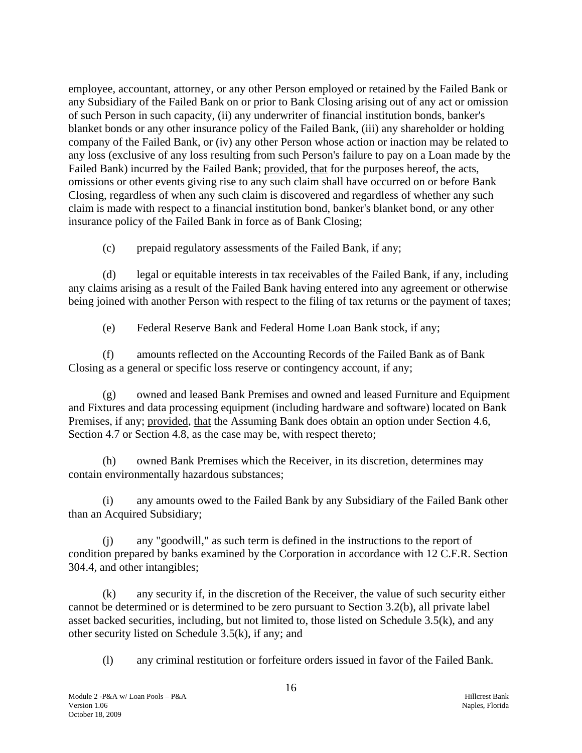employee, accountant, attorney, or any other Person employed or retained by the Failed Bank or any Subsidiary of the Failed Bank on or prior to Bank Closing arising out of any act or omission of such Person in such capacity, (ii) any underwriter of financial institution bonds, banker's blanket bonds or any other insurance policy of the Failed Bank, (iii) any shareholder or holding company of the Failed Bank, or (iv) any other Person whose action or inaction may be related to any loss (exclusive of any loss resulting from such Person's failure to pay on a Loan made by the Failed Bank) incurred by the Failed Bank; provided, that for the purposes hereof, the acts, omissions or other events giving rise to any such claim shall have occurred on or before Bank Closing, regardless of when any such claim is discovered and regardless of whether any such claim is made with respect to a financial institution bond, banker's blanket bond, or any other insurance policy of the Failed Bank in force as of Bank Closing;

(c) prepaid regulatory assessments of the Failed Bank, if any;

(d) legal or equitable interests in tax receivables of the Failed Bank, if any, including any claims arising as a result of the Failed Bank having entered into any agreement or otherwise being joined with another Person with respect to the filing of tax returns or the payment of taxes;

(e) Federal Reserve Bank and Federal Home Loan Bank stock, if any;

(f) amounts reflected on the Accounting Records of the Failed Bank as of Bank Closing as a general or specific loss reserve or contingency account, if any;

(g) owned and leased Bank Premises and owned and leased Furniture and Equipment and Fixtures and data processing equipment (including hardware and software) located on Bank Premises, if any; provided, that the Assuming Bank does obtain an option under Section 4.6, Section 4.7 or Section 4.8, as the case may be, with respect thereto;

(h) owned Bank Premises which the Receiver, in its discretion, determines may contain environmentally hazardous substances;

(i) any amounts owed to the Failed Bank by any Subsidiary of the Failed Bank other than an Acquired Subsidiary;

(j) any "goodwill," as such term is defined in the instructions to the report of condition prepared by banks examined by the Corporation in accordance with 12 C.F.R. Section 304.4, and other intangibles;

(k) any security if, in the discretion of the Receiver, the value of such security either cannot be determined or is determined to be zero pursuant to Section 3.2(b), all private label asset backed securities, including, but not limited to, those listed on Schedule 3.5(k), and any other security listed on Schedule 3.5(k), if any; and

(l) any criminal restitution or forfeiture orders issued in favor of the Failed Bank.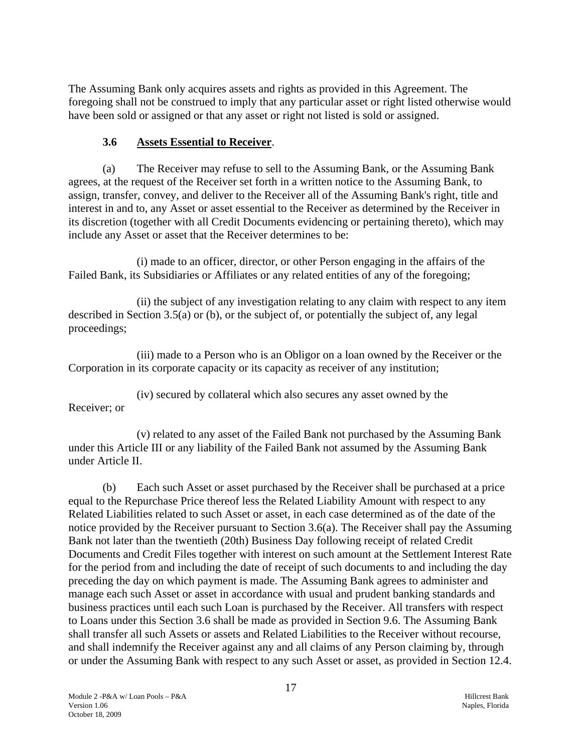The Assuming Bank only acquires assets and rights as provided in this Agreement. The foregoing shall not be construed to imply that any particular asset or right listed otherwise would have been sold or assigned or that any asset or right not listed is sold or assigned.

# **3.6 Assets Essential to Receiver**.

<span id="page-21-0"></span>(a) The Receiver may refuse to sell to the Assuming Bank, or the Assuming Bank agrees, at the request of the Receiver set forth in a written notice to the Assuming Bank, to assign, transfer, convey, and deliver to the Receiver all of the Assuming Bank's right, title and interest in and to, any Asset or asset essential to the Receiver as determined by the Receiver in its discretion (together with all Credit Documents evidencing or pertaining thereto), which may include any Asset or asset that the Receiver determines to be:

(i) made to an officer, director, or other Person engaging in the affairs of the Failed Bank, its Subsidiaries or Affiliates or any related entities of any of the foregoing;

(ii) the subject of any investigation relating to any claim with respect to any item described in Section 3.5(a) or (b), or the subject of, or potentially the subject of, any legal proceedings;

(iii) made to a Person who is an Obligor on a loan owned by the Receiver or the Corporation in its corporate capacity or its capacity as receiver of any institution;

(iv) secured by collateral which also secures any asset owned by the Receiver; or

(v) related to any asset of the Failed Bank not purchased by the Assuming Bank under this Article III or any liability of the Failed Bank not assumed by the Assuming Bank under Article II.

(b) Each such Asset or asset purchased by the Receiver shall be purchased at a price equal to the Repurchase Price thereof less the Related Liability Amount with respect to any Related Liabilities related to such Asset or asset, in each case determined as of the date of the notice provided by the Receiver pursuant to Section 3.6(a). The Receiver shall pay the Assuming Bank not later than the twentieth (20th) Business Day following receipt of related Credit Documents and Credit Files together with interest on such amount at the Settlement Interest Rate for the period from and including the date of receipt of such documents to and including the day preceding the day on which payment is made. The Assuming Bank agrees to administer and manage each such Asset or asset in accordance with usual and prudent banking standards and business practices until each such Loan is purchased by the Receiver. All transfers with respect to Loans under this Section 3.6 shall be made as provided in Section 9.6. The Assuming Bank shall transfer all such Assets or assets and Related Liabilities to the Receiver without recourse, and shall indemnify the Receiver against any and all claims of any Person claiming by, through or under the Assuming Bank with respect to any such Asset or asset, as provided in Section 12.4.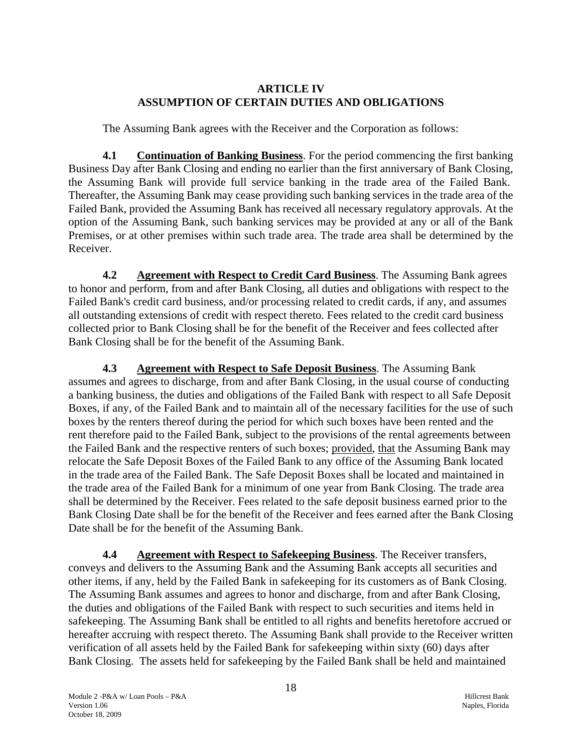# **ARTICLE IV ASSUMPTION OF CERTAIN DUTIES AND OBLIGATIONS**

The Assuming Bank agrees with the Receiver and the Corporation as follows:

<span id="page-22-1"></span><span id="page-22-0"></span>**4.1 Continuation of Banking Business**. For the period commencing the first banking Business Day after Bank Closing and ending no earlier than the first anniversary of Bank Closing, the Assuming Bank will provide full service banking in the trade area of the Failed Bank. Thereafter, the Assuming Bank may cease providing such banking services in the trade area of the Failed Bank, provided the Assuming Bank has received all necessary regulatory approvals. At the option of the Assuming Bank, such banking services may be provided at any or all of the Bank Premises, or at other premises within such trade area. The trade area shall be determined by the Receiver.

<span id="page-22-2"></span>**4.2 Agreement with Respect to Credit Card Business**. The Assuming Bank agrees to honor and perform, from and after Bank Closing, all duties and obligations with respect to the Failed Bank's credit card business, and/or processing related to credit cards, if any, and assumes all outstanding extensions of credit with respect thereto. Fees related to the credit card business collected prior to Bank Closing shall be for the benefit of the Receiver and fees collected after Bank Closing shall be for the benefit of the Assuming Bank.

<span id="page-22-3"></span>**4.3 Agreement with Respect to Safe Deposit Business**. The Assuming Bank assumes and agrees to discharge, from and after Bank Closing, in the usual course of conducting a banking business, the duties and obligations of the Failed Bank with respect to all Safe Deposit Boxes, if any, of the Failed Bank and to maintain all of the necessary facilities for the use of such boxes by the renters thereof during the period for which such boxes have been rented and the rent therefore paid to the Failed Bank, subject to the provisions of the rental agreements between the Failed Bank and the respective renters of such boxes; provided, that the Assuming Bank may relocate the Safe Deposit Boxes of the Failed Bank to any office of the Assuming Bank located in the trade area of the Failed Bank. The Safe Deposit Boxes shall be located and maintained in the trade area of the Failed Bank for a minimum of one year from Bank Closing. The trade area shall be determined by the Receiver. Fees related to the safe deposit business earned prior to the Bank Closing Date shall be for the benefit of the Receiver and fees earned after the Bank Closing Date shall be for the benefit of the Assuming Bank.

<span id="page-22-4"></span>**4.4 Agreement with Respect to Safekeeping Business**. The Receiver transfers, conveys and delivers to the Assuming Bank and the Assuming Bank accepts all securities and other items, if any, held by the Failed Bank in safekeeping for its customers as of Bank Closing. The Assuming Bank assumes and agrees to honor and discharge, from and after Bank Closing, the duties and obligations of the Failed Bank with respect to such securities and items held in safekeeping. The Assuming Bank shall be entitled to all rights and benefits heretofore accrued or hereafter accruing with respect thereto. The Assuming Bank shall provide to the Receiver written verification of all assets held by the Failed Bank for safekeeping within sixty (60) days after Bank Closing. The assets held for safekeeping by the Failed Bank shall be held and maintained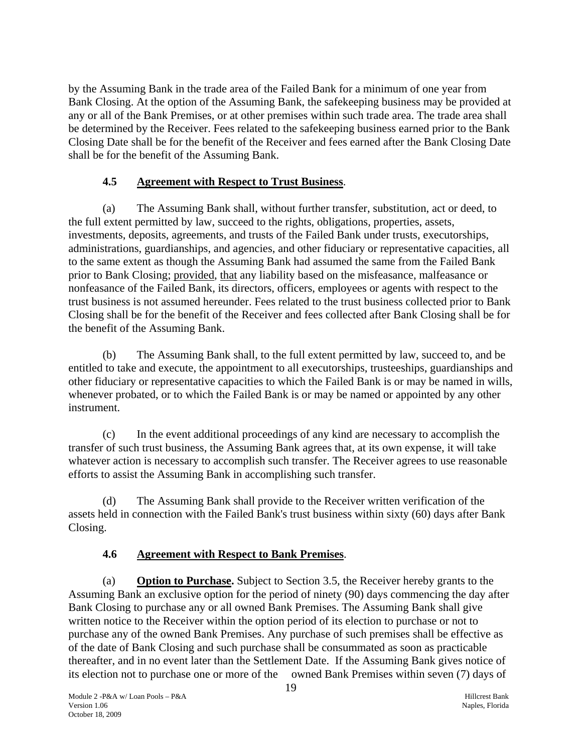by the Assuming Bank in the trade area of the Failed Bank for a minimum of one year from Bank Closing. At the option of the Assuming Bank, the safekeeping business may be provided at any or all of the Bank Premises, or at other premises within such trade area. The trade area shall be determined by the Receiver. Fees related to the safekeeping business earned prior to the Bank Closing Date shall be for the benefit of the Receiver and fees earned after the Bank Closing Date shall be for the benefit of the Assuming Bank.

# **4.5 Agreement with Respect to Trust Business**.

<span id="page-23-0"></span>(a) The Assuming Bank shall, without further transfer, substitution, act or deed, to the full extent permitted by law, succeed to the rights, obligations, properties, assets, investments, deposits, agreements, and trusts of the Failed Bank under trusts, executorships, administrations, guardianships, and agencies, and other fiduciary or representative capacities, all to the same extent as though the Assuming Bank had assumed the same from the Failed Bank prior to Bank Closing; provided, that any liability based on the misfeasance, malfeasance or nonfeasance of the Failed Bank, its directors, officers, employees or agents with respect to the trust business is not assumed hereunder. Fees related to the trust business collected prior to Bank Closing shall be for the benefit of the Receiver and fees collected after Bank Closing shall be for the benefit of the Assuming Bank.

(b) The Assuming Bank shall, to the full extent permitted by law, succeed to, and be entitled to take and execute, the appointment to all executorships, trusteeships, guardianships and other fiduciary or representative capacities to which the Failed Bank is or may be named in wills, whenever probated, or to which the Failed Bank is or may be named or appointed by any other instrument.

(c) In the event additional proceedings of any kind are necessary to accomplish the transfer of such trust business, the Assuming Bank agrees that, at its own expense, it will take whatever action is necessary to accomplish such transfer. The Receiver agrees to use reasonable efforts to assist the Assuming Bank in accomplishing such transfer.

(d) The Assuming Bank shall provide to the Receiver written verification of the assets held in connection with the Failed Bank's trust business within sixty (60) days after Bank Closing.

# **4.6 Agreement with Respect to Bank Premises**.

<span id="page-23-1"></span>(a) **Option to Purchase.** Subject to Section 3.5, the Receiver hereby grants to the Assuming Bank an exclusive option for the period of ninety (90) days commencing the day after Bank Closing to purchase any or all owned Bank Premises. The Assuming Bank shall give written notice to the Receiver within the option period of its election to purchase or not to purchase any of the owned Bank Premises. Any purchase of such premises shall be effective as of the date of Bank Closing and such purchase shall be consummated as soon as practicable thereafter, and in no event later than the Settlement Date. If the Assuming Bank gives notice of its election not to purchase one or more of the owned Bank Premises within seven (7) days of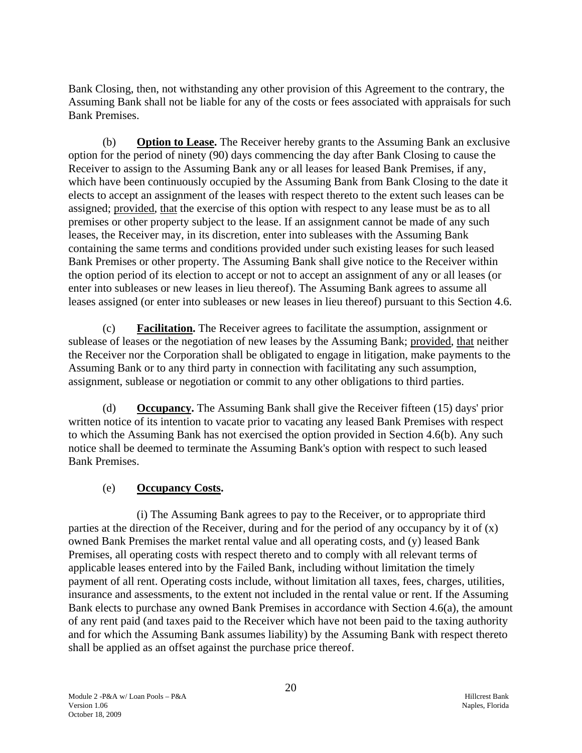Bank Closing, then, not withstanding any other provision of this Agreement to the contrary, the Assuming Bank shall not be liable for any of the costs or fees associated with appraisals for such Bank Premises.

(b) **Option to Lease.** The Receiver hereby grants to the Assuming Bank an exclusive option for the period of ninety (90) days commencing the day after Bank Closing to cause the Receiver to assign to the Assuming Bank any or all leases for leased Bank Premises, if any, which have been continuously occupied by the Assuming Bank from Bank Closing to the date it elects to accept an assignment of the leases with respect thereto to the extent such leases can be assigned; provided, that the exercise of this option with respect to any lease must be as to all premises or other property subject to the lease. If an assignment cannot be made of any such leases, the Receiver may, in its discretion, enter into subleases with the Assuming Bank containing the same terms and conditions provided under such existing leases for such leased Bank Premises or other property. The Assuming Bank shall give notice to the Receiver within the option period of its election to accept or not to accept an assignment of any or all leases (or enter into subleases or new leases in lieu thereof). The Assuming Bank agrees to assume all leases assigned (or enter into subleases or new leases in lieu thereof) pursuant to this Section 4.6.

(c) **Facilitation.** The Receiver agrees to facilitate the assumption, assignment or sublease of leases or the negotiation of new leases by the Assuming Bank; provided, that neither the Receiver nor the Corporation shall be obligated to engage in litigation, make payments to the Assuming Bank or to any third party in connection with facilitating any such assumption, assignment, sublease or negotiation or commit to any other obligations to third parties.

(d) **Occupancy.** The Assuming Bank shall give the Receiver fifteen (15) days' prior written notice of its intention to vacate prior to vacating any leased Bank Premises with respect to which the Assuming Bank has not exercised the option provided in Section 4.6(b). Any such notice shall be deemed to terminate the Assuming Bank's option with respect to such leased Bank Premises.

#### (e) **Occupancy Costs.**

(i) The Assuming Bank agrees to pay to the Receiver, or to appropriate third parties at the direction of the Receiver, during and for the period of any occupancy by it of (x) owned Bank Premises the market rental value and all operating costs, and (y) leased Bank Premises, all operating costs with respect thereto and to comply with all relevant terms of applicable leases entered into by the Failed Bank, including without limitation the timely payment of all rent. Operating costs include, without limitation all taxes, fees, charges, utilities, insurance and assessments, to the extent not included in the rental value or rent. If the Assuming Bank elects to purchase any owned Bank Premises in accordance with Section 4.6(a), the amount of any rent paid (and taxes paid to the Receiver which have not been paid to the taxing authority and for which the Assuming Bank assumes liability) by the Assuming Bank with respect thereto shall be applied as an offset against the purchase price thereof.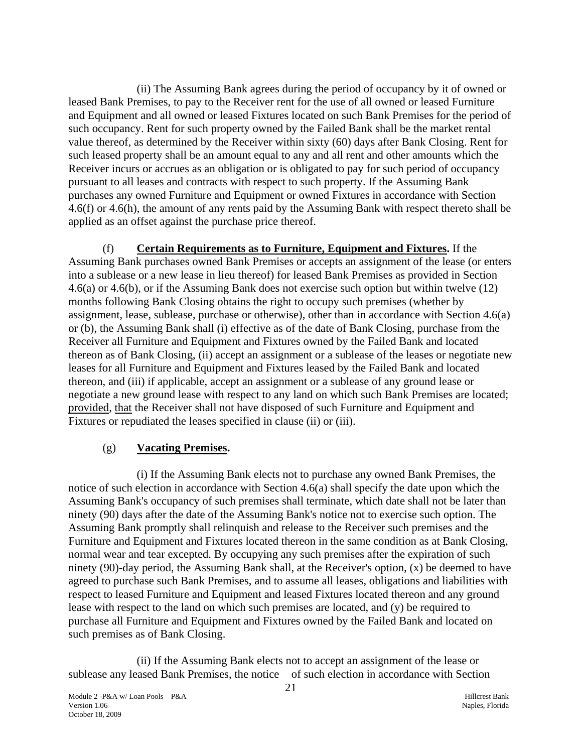(ii) The Assuming Bank agrees during the period of occupancy by it of owned or leased Bank Premises, to pay to the Receiver rent for the use of all owned or leased Furniture and Equipment and all owned or leased Fixtures located on such Bank Premises for the period of such occupancy. Rent for such property owned by the Failed Bank shall be the market rental value thereof, as determined by the Receiver within sixty (60) days after Bank Closing. Rent for such leased property shall be an amount equal to any and all rent and other amounts which the Receiver incurs or accrues as an obligation or is obligated to pay for such period of occupancy pursuant to all leases and contracts with respect to such property. If the Assuming Bank purchases any owned Furniture and Equipment or owned Fixtures in accordance with Section 4.6(f) or 4.6(h), the amount of any rents paid by the Assuming Bank with respect thereto shall be applied as an offset against the purchase price thereof.

(f) **Certain Requirements as to Furniture, Equipment and Fixtures.** If the Assuming Bank purchases owned Bank Premises or accepts an assignment of the lease (or enters into a sublease or a new lease in lieu thereof) for leased Bank Premises as provided in Section 4.6(a) or 4.6(b), or if the Assuming Bank does not exercise such option but within twelve (12) months following Bank Closing obtains the right to occupy such premises (whether by assignment, lease, sublease, purchase or otherwise), other than in accordance with Section 4.6(a) or (b), the Assuming Bank shall (i) effective as of the date of Bank Closing, purchase from the Receiver all Furniture and Equipment and Fixtures owned by the Failed Bank and located thereon as of Bank Closing, (ii) accept an assignment or a sublease of the leases or negotiate new leases for all Furniture and Equipment and Fixtures leased by the Failed Bank and located thereon, and (iii) if applicable, accept an assignment or a sublease of any ground lease or negotiate a new ground lease with respect to any land on which such Bank Premises are located; provided, that the Receiver shall not have disposed of such Furniture and Equipment and Fixtures or repudiated the leases specified in clause (ii) or (iii).

#### (g) **Vacating Premises.**

(i) If the Assuming Bank elects not to purchase any owned Bank Premises, the notice of such election in accordance with Section 4.6(a) shall specify the date upon which the Assuming Bank's occupancy of such premises shall terminate, which date shall not be later than ninety (90) days after the date of the Assuming Bank's notice not to exercise such option. The Assuming Bank promptly shall relinquish and release to the Receiver such premises and the Furniture and Equipment and Fixtures located thereon in the same condition as at Bank Closing, normal wear and tear excepted. By occupying any such premises after the expiration of such ninety (90)-day period, the Assuming Bank shall, at the Receiver's option, (x) be deemed to have agreed to purchase such Bank Premises, and to assume all leases, obligations and liabilities with respect to leased Furniture and Equipment and leased Fixtures located thereon and any ground lease with respect to the land on which such premises are located, and (y) be required to purchase all Furniture and Equipment and Fixtures owned by the Failed Bank and located on such premises as of Bank Closing.

(ii) If the Assuming Bank elects not to accept an assignment of the lease or sublease any leased Bank Premises, the notice of such election in accordance with Section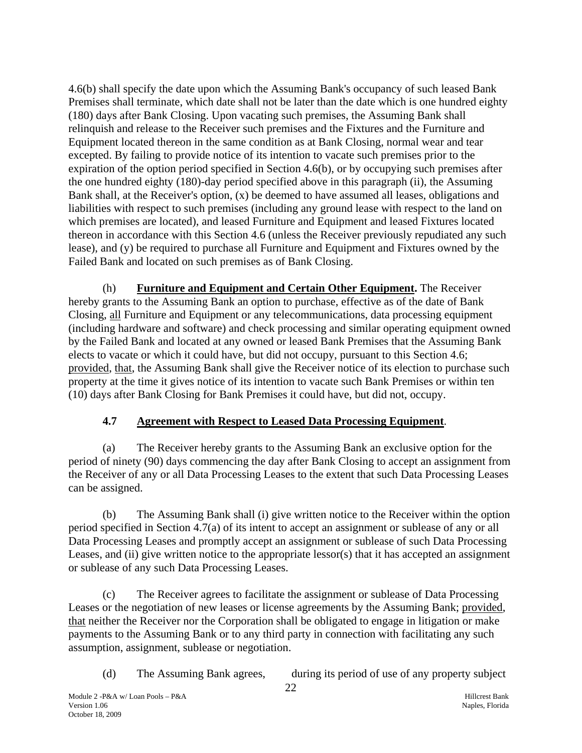4.6(b) shall specify the date upon which the Assuming Bank's occupancy of such leased Bank Premises shall terminate, which date shall not be later than the date which is one hundred eighty (180) days after Bank Closing. Upon vacating such premises, the Assuming Bank shall relinquish and release to the Receiver such premises and the Fixtures and the Furniture and Equipment located thereon in the same condition as at Bank Closing, normal wear and tear excepted. By failing to provide notice of its intention to vacate such premises prior to the expiration of the option period specified in Section 4.6(b), or by occupying such premises after the one hundred eighty (180)-day period specified above in this paragraph (ii), the Assuming Bank shall, at the Receiver's option, (x) be deemed to have assumed all leases, obligations and liabilities with respect to such premises (including any ground lease with respect to the land on which premises are located), and leased Furniture and Equipment and leased Fixtures located thereon in accordance with this Section 4.6 (unless the Receiver previously repudiated any such lease), and (y) be required to purchase all Furniture and Equipment and Fixtures owned by the Failed Bank and located on such premises as of Bank Closing.

(h) **Furniture and Equipment and Certain Other Equipment.** The Receiver hereby grants to the Assuming Bank an option to purchase, effective as of the date of Bank Closing, all Furniture and Equipment or any telecommunications, data processing equipment (including hardware and software) and check processing and similar operating equipment owned by the Failed Bank and located at any owned or leased Bank Premises that the Assuming Bank elects to vacate or which it could have, but did not occupy, pursuant to this Section 4.6; provided, that, the Assuming Bank shall give the Receiver notice of its election to purchase such property at the time it gives notice of its intention to vacate such Bank Premises or within ten (10) days after Bank Closing for Bank Premises it could have, but did not, occupy.

# **4.7 Agreement with Respect to Leased Data Processing Equipment**.

<span id="page-26-0"></span>(a) The Receiver hereby grants to the Assuming Bank an exclusive option for the period of ninety (90) days commencing the day after Bank Closing to accept an assignment from the Receiver of any or all Data Processing Leases to the extent that such Data Processing Leases can be assigned.

(b) The Assuming Bank shall (i) give written notice to the Receiver within the option period specified in Section 4.7(a) of its intent to accept an assignment or sublease of any or all Data Processing Leases and promptly accept an assignment or sublease of such Data Processing Leases, and (ii) give written notice to the appropriate lessor(s) that it has accepted an assignment or sublease of any such Data Processing Leases.

(c) The Receiver agrees to facilitate the assignment or sublease of Data Processing Leases or the negotiation of new leases or license agreements by the Assuming Bank; provided, that neither the Receiver nor the Corporation shall be obligated to engage in litigation or make payments to the Assuming Bank or to any third party in connection with facilitating any such assumption, assignment, sublease or negotiation.

(d) The Assuming Bank agrees, during its period of use of any property subject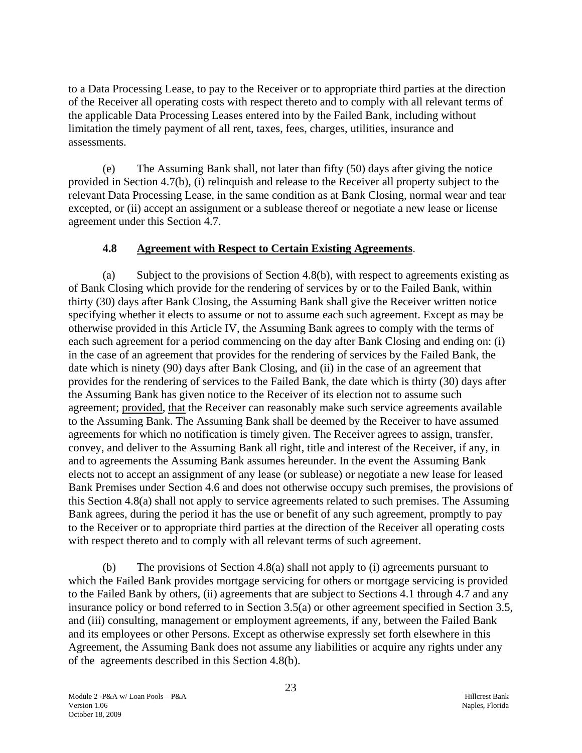to a Data Processing Lease, to pay to the Receiver or to appropriate third parties at the direction of the Receiver all operating costs with respect thereto and to comply with all relevant terms of the applicable Data Processing Leases entered into by the Failed Bank, including without limitation the timely payment of all rent, taxes, fees, charges, utilities, insurance and assessments.

(e) The Assuming Bank shall, not later than fifty (50) days after giving the notice provided in Section 4.7(b), (i) relinquish and release to the Receiver all property subject to the relevant Data Processing Lease, in the same condition as at Bank Closing, normal wear and tear excepted, or (ii) accept an assignment or a sublease thereof or negotiate a new lease or license agreement under this Section 4.7.

## **4.8 Agreement with Respect to Certain Existing Agreements**.

<span id="page-27-0"></span>(a) Subject to the provisions of Section 4.8(b), with respect to agreements existing as of Bank Closing which provide for the rendering of services by or to the Failed Bank, within thirty (30) days after Bank Closing, the Assuming Bank shall give the Receiver written notice specifying whether it elects to assume or not to assume each such agreement. Except as may be otherwise provided in this Article IV, the Assuming Bank agrees to comply with the terms of each such agreement for a period commencing on the day after Bank Closing and ending on: (i) in the case of an agreement that provides for the rendering of services by the Failed Bank, the date which is ninety (90) days after Bank Closing, and (ii) in the case of an agreement that provides for the rendering of services to the Failed Bank, the date which is thirty (30) days after the Assuming Bank has given notice to the Receiver of its election not to assume such agreement; provided, that the Receiver can reasonably make such service agreements available to the Assuming Bank. The Assuming Bank shall be deemed by the Receiver to have assumed agreements for which no notification is timely given. The Receiver agrees to assign, transfer, convey, and deliver to the Assuming Bank all right, title and interest of the Receiver, if any, in and to agreements the Assuming Bank assumes hereunder. In the event the Assuming Bank elects not to accept an assignment of any lease (or sublease) or negotiate a new lease for leased Bank Premises under Section 4.6 and does not otherwise occupy such premises, the provisions of this Section 4.8(a) shall not apply to service agreements related to such premises. The Assuming Bank agrees, during the period it has the use or benefit of any such agreement, promptly to pay to the Receiver or to appropriate third parties at the direction of the Receiver all operating costs with respect thereto and to comply with all relevant terms of such agreement.

(b) The provisions of Section 4.8(a) shall not apply to (i) agreements pursuant to which the Failed Bank provides mortgage servicing for others or mortgage servicing is provided to the Failed Bank by others, (ii) agreements that are subject to Sections 4.1 through 4.7 and any insurance policy or bond referred to in Section 3.5(a) or other agreement specified in Section 3.5, and (iii) consulting, management or employment agreements, if any, between the Failed Bank and its employees or other Persons. Except as otherwise expressly set forth elsewhere in this Agreement, the Assuming Bank does not assume any liabilities or acquire any rights under any of the agreements described in this Section 4.8(b).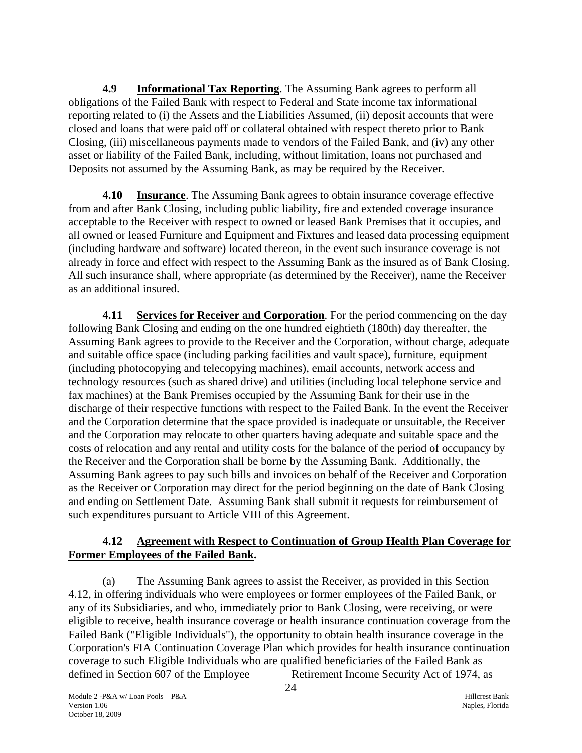<span id="page-28-3"></span><span id="page-28-0"></span>**4.9 Informational Tax Reporting**. The Assuming Bank agrees to perform all obligations of the Failed Bank with respect to Federal and State income tax informational reporting related to (i) the Assets and the Liabilities Assumed, (ii) deposit accounts that were closed and loans that were paid off or collateral obtained with respect thereto prior to Bank Closing, (iii) miscellaneous payments made to vendors of the Failed Bank, and (iv) any other asset or liability of the Failed Bank, including, without limitation, loans not purchased and Deposits not assumed by the Assuming Bank, as may be required by the Receiver.

<span id="page-28-1"></span>**4.10 Insurance**. The Assuming Bank agrees to obtain insurance coverage effective from and after Bank Closing, including public liability, fire and extended coverage insurance acceptable to the Receiver with respect to owned or leased Bank Premises that it occupies, and all owned or leased Furniture and Equipment and Fixtures and leased data processing equipment (including hardware and software) located thereon, in the event such insurance coverage is not already in force and effect with respect to the Assuming Bank as the insured as of Bank Closing. All such insurance shall, where appropriate (as determined by the Receiver), name the Receiver as an additional insured.

**4.11 Services for Receiver and Corporation**. For the period commencing on the day following Bank Closing and ending on the one hundred eightieth (180th) day thereafter, the Assuming Bank agrees to provide to the Receiver and the Corporation, without charge, adequate and suitable office space (including parking facilities and vault space), furniture, equipment (including photocopying and telecopying machines), email accounts, network access and technology resources (such as shared drive) and utilities (including local telephone service and fax machines) at the Bank Premises occupied by the Assuming Bank for their use in the discharge of their respective functions with respect to the Failed Bank. In the event the Receiver and the Corporation determine that the space provided is inadequate or unsuitable, the Receiver and the Corporation may relocate to other quarters having adequate and suitable space and the costs of relocation and any rental and utility costs for the balance of the period of occupancy by the Receiver and the Corporation shall be borne by the Assuming Bank. Additionally, the Assuming Bank agrees to pay such bills and invoices on behalf of the Receiver and Corporation as the Receiver or Corporation may direct for the period beginning on the date of Bank Closing and ending on Settlement Date. Assuming Bank shall submit it requests for reimbursement of such expenditures pursuant to Article VIII of this Agreement.

# <span id="page-28-2"></span>**4.12 Agreement with Respect to Continuation of Group Health Plan Coverage for Former Employees of the Failed Bank.**

(a) The Assuming Bank agrees to assist the Receiver, as provided in this Section 4.12, in offering individuals who were employees or former employees of the Failed Bank, or any of its Subsidiaries, and who, immediately prior to Bank Closing, were receiving, or were eligible to receive, health insurance coverage or health insurance continuation coverage from the Failed Bank ("Eligible Individuals"), the opportunity to obtain health insurance coverage in the Corporation's FIA Continuation Coverage Plan which provides for health insurance continuation coverage to such Eligible Individuals who are qualified beneficiaries of the Failed Bank as defined in Section 607 of the Employee Retirement Income Security Act of 1974, as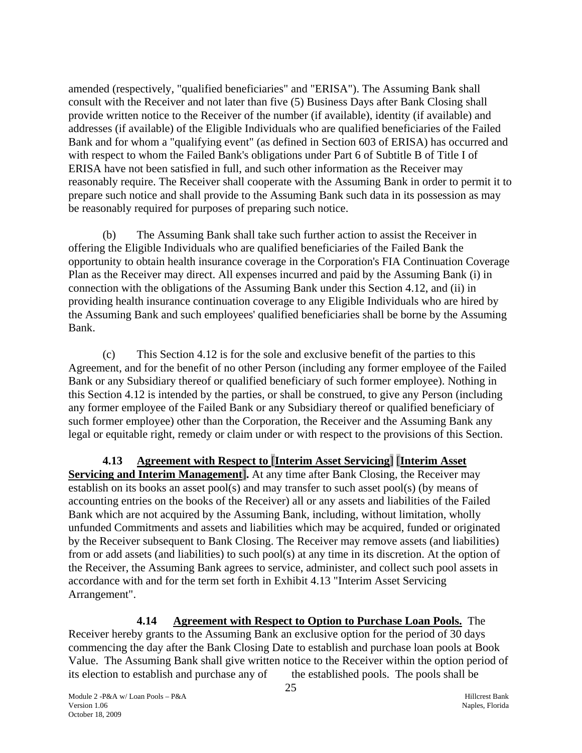<span id="page-29-1"></span>amended (respectively, "qualified beneficiaries" and "ERISA"). The Assuming Bank shall consult with the Receiver and not later than five (5) Business Days after Bank Closing shall provide written notice to the Receiver of the number (if available), identity (if available) and addresses (if available) of the Eligible Individuals who are qualified beneficiaries of the Failed Bank and for whom a "qualifying event" (as defined in Section 603 of ERISA) has occurred and with respect to whom the Failed Bank's obligations under Part 6 of Subtitle B of Title I of ERISA have not been satisfied in full, and such other information as the Receiver may reasonably require. The Receiver shall cooperate with the Assuming Bank in order to permit it to prepare such notice and shall provide to the Assuming Bank such data in its possession as may be reasonably required for purposes of preparing such notice.

(b) The Assuming Bank shall take such further action to assist the Receiver in offering the Eligible Individuals who are qualified beneficiaries of the Failed Bank the opportunity to obtain health insurance coverage in the Corporation's FIA Continuation Coverage Plan as the Receiver may direct. All expenses incurred and paid by the Assuming Bank (i) in connection with the obligations of the Assuming Bank under this Section 4.12, and (ii) in providing health insurance continuation coverage to any Eligible Individuals who are hired by the Assuming Bank and such employees' qualified beneficiaries shall be borne by the Assuming Bank.

(c) This Section 4.12 is for the sole and exclusive benefit of the parties to this Agreement, and for the benefit of no other Person (including any former employee of the Failed Bank or any Subsidiary thereof or qualified beneficiary of such former employee). Nothing in this Section 4.12 is intended by the parties, or shall be construed, to give any Person (including any former employee of the Failed Bank or any Subsidiary thereof or qualified beneficiary of such former employee) other than the Corporation, the Receiver and the Assuming Bank any legal or equitable right, remedy or claim under or with respect to the provisions of this Section.

<span id="page-29-0"></span>**4.13 Agreement with Respect to** [**Interim Asset Servicing**] [**Interim Asset Servicing and Interim Management**]**.** At any time after Bank Closing, the Receiver may establish on its books an asset pool(s) and may transfer to such asset pool(s) (by means of accounting entries on the books of the Receiver) all or any assets and liabilities of the Failed Bank which are not acquired by the Assuming Bank, including, without limitation, wholly unfunded Commitments and assets and liabilities which may be acquired, funded or originated by the Receiver subsequent to Bank Closing. The Receiver may remove assets (and liabilities) from or add assets (and liabilities) to such pool(s) at any time in its discretion. At the option of the Receiver, the Assuming Bank agrees to service, administer, and collect such pool assets in accordance with and for the term set forth in Exhibit 4.13 "Interim Asset Servicing Arrangement".

 **Agreement with Respect to Option to Purchase Loan Pools.** The Receiver hereby grants to the Assuming Bank an exclusive option for the period of 30 days commencing the day after the Bank Closing Date to establish and purchase loan pools at Book Value. The Assuming Bank shall give written notice to the Receiver within the option period of its election to establish and purchase any of the established pools. The pools shall be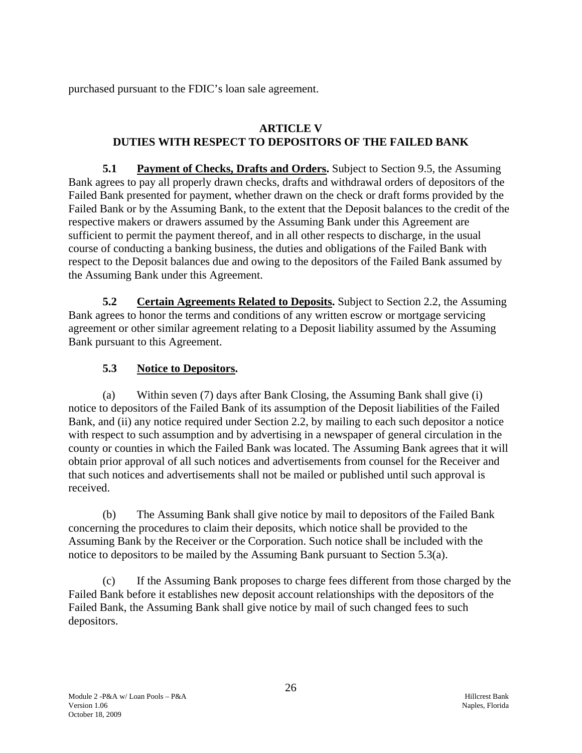purchased pursuant to the FDIC's loan sale agreement.

# **ARTICLE V DUTIES WITH RESPECT TO DEPOSITORS OF THE FAILED BANK**

<span id="page-30-1"></span><span id="page-30-0"></span>**5.1 Payment of Checks, Drafts and Orders.** Subject to Section 9.5, the Assuming Bank agrees to pay all properly drawn checks, drafts and withdrawal orders of depositors of the Failed Bank presented for payment, whether drawn on the check or draft forms provided by the Failed Bank or by the Assuming Bank, to the extent that the Deposit balances to the credit of the respective makers or drawers assumed by the Assuming Bank under this Agreement are sufficient to permit the payment thereof, and in all other respects to discharge, in the usual course of conducting a banking business, the duties and obligations of the Failed Bank with respect to the Deposit balances due and owing to the depositors of the Failed Bank assumed by the Assuming Bank under this Agreement.

<span id="page-30-2"></span>**5.2** Certain Agreements Related to Deposits. Subject to Section 2.2, the Assuming Bank agrees to honor the terms and conditions of any written escrow or mortgage servicing agreement or other similar agreement relating to a Deposit liability assumed by the Assuming Bank pursuant to this Agreement.

# **5.3 Notice to Depositors.**

<span id="page-30-3"></span>(a) Within seven (7) days after Bank Closing, the Assuming Bank shall give (i) notice to depositors of the Failed Bank of its assumption of the Deposit liabilities of the Failed Bank, and (ii) any notice required under Section 2.2, by mailing to each such depositor a notice with respect to such assumption and by advertising in a newspaper of general circulation in the county or counties in which the Failed Bank was located. The Assuming Bank agrees that it will obtain prior approval of all such notices and advertisements from counsel for the Receiver and that such notices and advertisements shall not be mailed or published until such approval is received.

(b) The Assuming Bank shall give notice by mail to depositors of the Failed Bank concerning the procedures to claim their deposits, which notice shall be provided to the Assuming Bank by the Receiver or the Corporation. Such notice shall be included with the notice to depositors to be mailed by the Assuming Bank pursuant to Section 5.3(a).

(c) If the Assuming Bank proposes to charge fees different from those charged by the Failed Bank before it establishes new deposit account relationships with the depositors of the Failed Bank, the Assuming Bank shall give notice by mail of such changed fees to such depositors.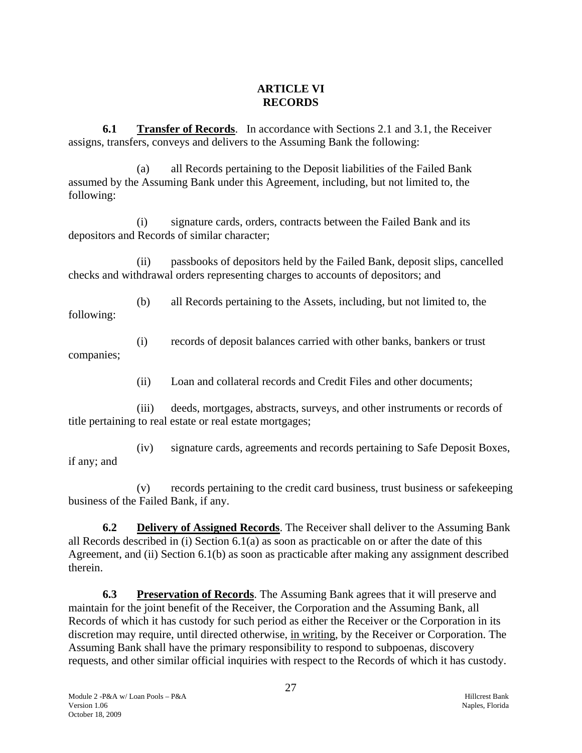# **ARTICLE VI RECORDS**

<span id="page-31-1"></span><span id="page-31-0"></span>**6.1** Transfer of Records. In accordance with Sections 2.1 and 3.1, the Receiver assigns, transfers, conveys and delivers to the Assuming Bank the following:

(a) all Records pertaining to the Deposit liabilities of the Failed Bank assumed by the Assuming Bank under this Agreement, including, but not limited to, the following:

(i) signature cards, orders, contracts between the Failed Bank and its depositors and Records of similar character;

(ii) passbooks of depositors held by the Failed Bank, deposit slips, cancelled checks and withdrawal orders representing charges to accounts of depositors; and

following: (b) all Records pertaining to the Assets, including, but not limited to, the

companies; (i) records of deposit balances carried with other banks, bankers or trust

(ii) Loan and collateral records and Credit Files and other documents;

(iii) deeds, mortgages, abstracts, surveys, and other instruments or records of title pertaining to real estate or real estate mortgages;

(iv) signature cards, agreements and records pertaining to Safe Deposit Boxes, if any; and

(v) records pertaining to the credit card business, trust business or safekeeping business of the Failed Bank, if any.

<span id="page-31-2"></span>**6.2 Delivery of Assigned Records**. The Receiver shall deliver to the Assuming Bank all Records described in (i) Section 6.1(a) as soon as practicable on or after the date of this Agreement, and (ii) Section 6.1(b) as soon as practicable after making any assignment described therein.

<span id="page-31-3"></span>**6.3 Preservation of Records**. The Assuming Bank agrees that it will preserve and maintain for the joint benefit of the Receiver, the Corporation and the Assuming Bank, all Records of which it has custody for such period as either the Receiver or the Corporation in its discretion may require, until directed otherwise, in writing, by the Receiver or Corporation. The Assuming Bank shall have the primary responsibility to respond to subpoenas, discovery requests, and other similar official inquiries with respect to the Records of which it has custody.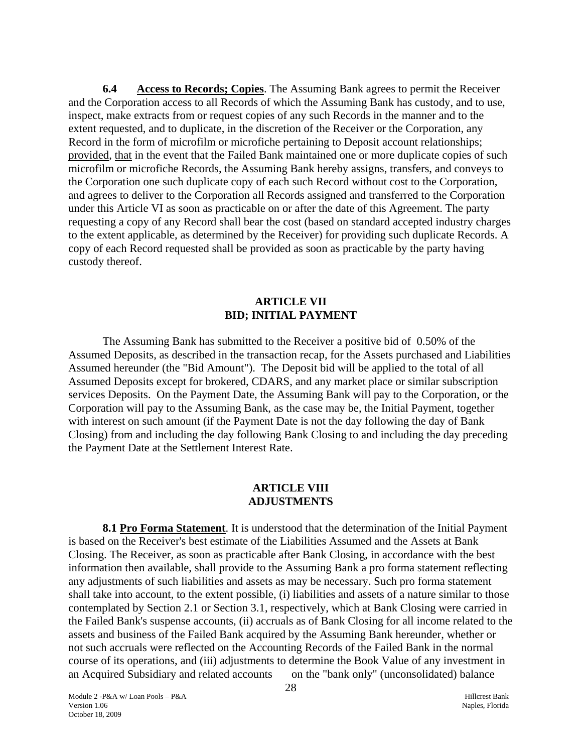<span id="page-32-0"></span>**6.4** Access to Records; Copies. The Assuming Bank agrees to permit the Receiver and the Corporation access to all Records of which the Assuming Bank has custody, and to use, inspect, make extracts from or request copies of any such Records in the manner and to the extent requested, and to duplicate, in the discretion of the Receiver or the Corporation, any Record in the form of microfilm or microfiche pertaining to Deposit account relationships; provided, that in the event that the Failed Bank maintained one or more duplicate copies of such microfilm or microfiche Records, the Assuming Bank hereby assigns, transfers, and conveys to the Corporation one such duplicate copy of each such Record without cost to the Corporation, and agrees to deliver to the Corporation all Records assigned and transferred to the Corporation under this Article VI as soon as practicable on or after the date of this Agreement. The party requesting a copy of any Record shall bear the cost (based on standard accepted industry charges to the extent applicable, as determined by the Receiver) for providing such duplicate Records. A copy of each Record requested shall be provided as soon as practicable by the party having custody thereof.

#### **ARTICLE VII BID; INITIAL PAYMENT**

<span id="page-32-1"></span>The Assuming Bank has submitted to the Receiver a positive bid of 0.50% of the Assumed Deposits, as described in the transaction recap, for the Assets purchased and Liabilities Assumed hereunder (the "Bid Amount"). The Deposit bid will be applied to the total of all Assumed Deposits except for brokered, CDARS, and any market place or similar subscription services Deposits. On the Payment Date, the Assuming Bank will pay to the Corporation, or the Corporation will pay to the Assuming Bank, as the case may be, the Initial Payment, together with interest on such amount (if the Payment Date is not the day following the day of Bank Closing) from and including the day following Bank Closing to and including the day preceding the Payment Date at the Settlement Interest Rate.

#### **ARTICLE VIII ADJUSTMENTS**

<span id="page-32-3"></span><span id="page-32-2"></span>**8.1 Pro Forma Statement**. It is understood that the determination of the Initial Payment is based on the Receiver's best estimate of the Liabilities Assumed and the Assets at Bank Closing. The Receiver, as soon as practicable after Bank Closing, in accordance with the best information then available, shall provide to the Assuming Bank a pro forma statement reflecting any adjustments of such liabilities and assets as may be necessary. Such pro forma statement shall take into account, to the extent possible, (i) liabilities and assets of a nature similar to those contemplated by Section 2.1 or Section 3.1, respectively, which at Bank Closing were carried in the Failed Bank's suspense accounts, (ii) accruals as of Bank Closing for all income related to the assets and business of the Failed Bank acquired by the Assuming Bank hereunder, whether or not such accruals were reflected on the Accounting Records of the Failed Bank in the normal course of its operations, and (iii) adjustments to determine the Book Value of any investment in an Acquired Subsidiary and related accounts on the "bank only" (unconsolidated) balance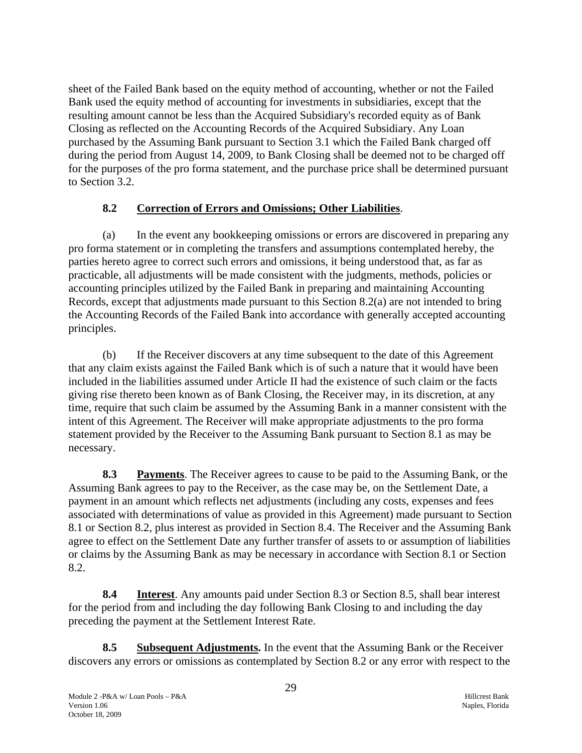sheet of the Failed Bank based on the equity method of accounting, whether or not the Failed Bank used the equity method of accounting for investments in subsidiaries, except that the resulting amount cannot be less than the Acquired Subsidiary's recorded equity as of Bank Closing as reflected on the Accounting Records of the Acquired Subsidiary. Any Loan purchased by the Assuming Bank pursuant to Section 3.1 which the Failed Bank charged off during the period from August 14, 2009, to Bank Closing shall be deemed not to be charged off for the purposes of the pro forma statement, and the purchase price shall be determined pursuant to Section 3.2.

# **8.2 Correction of Errors and Omissions; Other Liabilities**.

(a) In the event any bookkeeping omissions or errors are discovered in preparing any pro forma statement or in completing the transfers and assumptions contemplated hereby, the parties hereto agree to correct such errors and omissions, it being understood that, as far as practicable, all adjustments will be made consistent with the judgments, methods, policies or accounting principles utilized by the Failed Bank in preparing and maintaining Accounting Records, except that adjustments made pursuant to this Section 8.2(a) are not intended to bring the Accounting Records of the Failed Bank into accordance with generally accepted accounting principles.

(b) If the Receiver discovers at any time subsequent to the date of this Agreement that any claim exists against the Failed Bank which is of such a nature that it would have been included in the liabilities assumed under Article II had the existence of such claim or the facts giving rise thereto been known as of Bank Closing, the Receiver may, in its discretion, at any time, require that such claim be assumed by the Assuming Bank in a manner consistent with the intent of this Agreement. The Receiver will make appropriate adjustments to the pro forma statement provided by the Receiver to the Assuming Bank pursuant to Section 8.1 as may be necessary.

<span id="page-33-0"></span>**8.3 Payments**. The Receiver agrees to cause to be paid to the Assuming Bank, or the Assuming Bank agrees to pay to the Receiver, as the case may be, on the Settlement Date, a payment in an amount which reflects net adjustments (including any costs, expenses and fees associated with determinations of value as provided in this Agreement) made pursuant to Section 8.1 or Section 8.2, plus interest as provided in Section 8.4. The Receiver and the Assuming Bank agree to effect on the Settlement Date any further transfer of assets to or assumption of liabilities or claims by the Assuming Bank as may be necessary in accordance with Section 8.1 or Section 8.2.

<span id="page-33-1"></span>**8.4 Interest**. Any amounts paid under Section 8.3 or Section 8.5, shall bear interest for the period from and including the day following Bank Closing to and including the day preceding the payment at the Settlement Interest Rate.

<span id="page-33-2"></span>**8.5** Subsequent Adjustments. In the event that the Assuming Bank or the Receiver discovers any errors or omissions as contemplated by Section 8.2 or any error with respect to the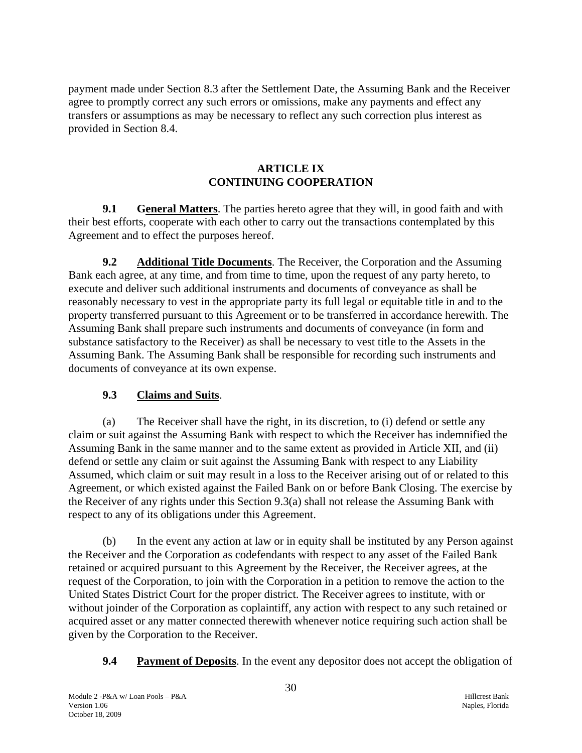payment made under Section 8.3 after the Settlement Date, the Assuming Bank and the Receiver agree to promptly correct any such errors or omissions, make any payments and effect any transfers or assumptions as may be necessary to reflect any such correction plus interest as provided in Section 8.4.

## **ARTICLE IX CONTINUING COOPERATION**

<span id="page-34-1"></span><span id="page-34-0"></span>**9.1** General Matters. The parties hereto agree that they will, in good faith and with their best efforts, cooperate with each other to carry out the transactions contemplated by this Agreement and to effect the purposes hereof.

<span id="page-34-2"></span>**9.2 Additional Title Documents**. The Receiver, the Corporation and the Assuming Bank each agree, at any time, and from time to time, upon the request of any party hereto, to execute and deliver such additional instruments and documents of conveyance as shall be reasonably necessary to vest in the appropriate party its full legal or equitable title in and to the property transferred pursuant to this Agreement or to be transferred in accordance herewith. The Assuming Bank shall prepare such instruments and documents of conveyance (in form and substance satisfactory to the Receiver) as shall be necessary to vest title to the Assets in the Assuming Bank. The Assuming Bank shall be responsible for recording such instruments and documents of conveyance at its own expense.

# **9.3 Claims and Suits**.

<span id="page-34-3"></span>(a) The Receiver shall have the right, in its discretion, to (i) defend or settle any claim or suit against the Assuming Bank with respect to which the Receiver has indemnified the Assuming Bank in the same manner and to the same extent as provided in Article XII, and (ii) defend or settle any claim or suit against the Assuming Bank with respect to any Liability Assumed, which claim or suit may result in a loss to the Receiver arising out of or related to this Agreement, or which existed against the Failed Bank on or before Bank Closing. The exercise by the Receiver of any rights under this Section 9.3(a) shall not release the Assuming Bank with respect to any of its obligations under this Agreement.

(b) In the event any action at law or in equity shall be instituted by any Person against the Receiver and the Corporation as codefendants with respect to any asset of the Failed Bank retained or acquired pursuant to this Agreement by the Receiver, the Receiver agrees, at the request of the Corporation, to join with the Corporation in a petition to remove the action to the United States District Court for the proper district. The Receiver agrees to institute, with or without joinder of the Corporation as coplaintiff, any action with respect to any such retained or acquired asset or any matter connected therewith whenever notice requiring such action shall be given by the Corporation to the Receiver.

<span id="page-34-4"></span>**9.4 Payment of Deposits**. In the event any depositor does not accept the obligation of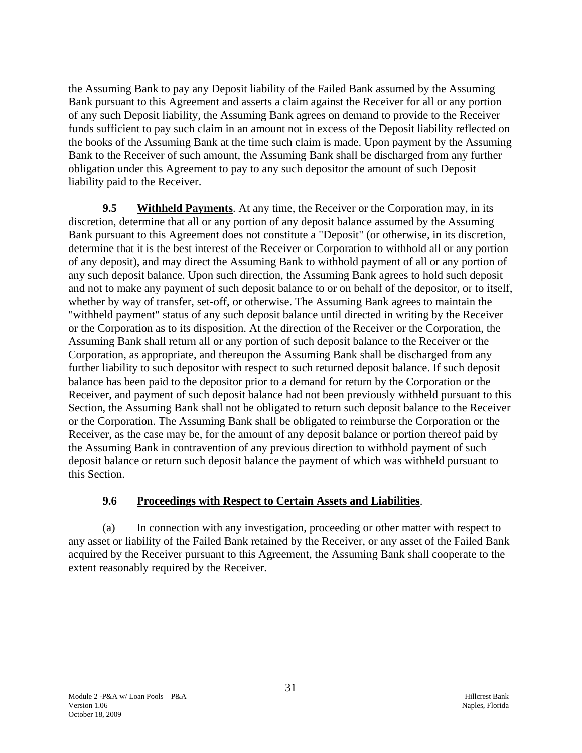the Assuming Bank to pay any Deposit liability of the Failed Bank assumed by the Assuming Bank pursuant to this Agreement and asserts a claim against the Receiver for all or any portion of any such Deposit liability, the Assuming Bank agrees on demand to provide to the Receiver funds sufficient to pay such claim in an amount not in excess of the Deposit liability reflected on the books of the Assuming Bank at the time such claim is made. Upon payment by the Assuming Bank to the Receiver of such amount, the Assuming Bank shall be discharged from any further obligation under this Agreement to pay to any such depositor the amount of such Deposit liability paid to the Receiver.

<span id="page-35-0"></span>**9.5** Withheld Payments. At any time, the Receiver or the Corporation may, in its discretion, determine that all or any portion of any deposit balance assumed by the Assuming Bank pursuant to this Agreement does not constitute a "Deposit" (or otherwise, in its discretion, determine that it is the best interest of the Receiver or Corporation to withhold all or any portion of any deposit), and may direct the Assuming Bank to withhold payment of all or any portion of any such deposit balance. Upon such direction, the Assuming Bank agrees to hold such deposit and not to make any payment of such deposit balance to or on behalf of the depositor, or to itself, whether by way of transfer, set-off, or otherwise. The Assuming Bank agrees to maintain the "withheld payment" status of any such deposit balance until directed in writing by the Receiver or the Corporation as to its disposition. At the direction of the Receiver or the Corporation, the Assuming Bank shall return all or any portion of such deposit balance to the Receiver or the Corporation, as appropriate, and thereupon the Assuming Bank shall be discharged from any further liability to such depositor with respect to such returned deposit balance. If such deposit balance has been paid to the depositor prior to a demand for return by the Corporation or the Receiver, and payment of such deposit balance had not been previously withheld pursuant to this Section, the Assuming Bank shall not be obligated to return such deposit balance to the Receiver or the Corporation. The Assuming Bank shall be obligated to reimburse the Corporation or the Receiver, as the case may be, for the amount of any deposit balance or portion thereof paid by the Assuming Bank in contravention of any previous direction to withhold payment of such deposit balance or return such deposit balance the payment of which was withheld pursuant to this Section.

# **9.6 Proceedings with Respect to Certain Assets and Liabilities**.

<span id="page-35-1"></span>(a) In connection with any investigation, proceeding or other matter with respect to any asset or liability of the Failed Bank retained by the Receiver, or any asset of the Failed Bank acquired by the Receiver pursuant to this Agreement, the Assuming Bank shall cooperate to the extent reasonably required by the Receiver.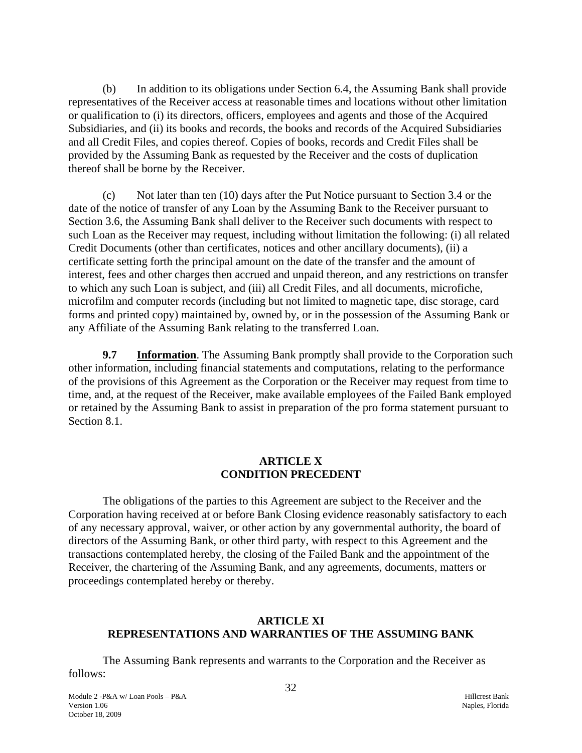(b) In addition to its obligations under Section 6.4, the Assuming Bank shall provide representatives of the Receiver access at reasonable times and locations without other limitation or qualification to (i) its directors, officers, employees and agents and those of the Acquired Subsidiaries, and (ii) its books and records, the books and records of the Acquired Subsidiaries and all Credit Files, and copies thereof. Copies of books, records and Credit Files shall be provided by the Assuming Bank as requested by the Receiver and the costs of duplication thereof shall be borne by the Receiver.

(c) Not later than ten (10) days after the Put Notice pursuant to Section 3.4 or the date of the notice of transfer of any Loan by the Assuming Bank to the Receiver pursuant to Section 3.6, the Assuming Bank shall deliver to the Receiver such documents with respect to such Loan as the Receiver may request, including without limitation the following: (i) all related Credit Documents (other than certificates, notices and other ancillary documents), (ii) a certificate setting forth the principal amount on the date of the transfer and the amount of interest, fees and other charges then accrued and unpaid thereon, and any restrictions on transfer to which any such Loan is subject, and (iii) all Credit Files, and all documents, microfiche, microfilm and computer records (including but not limited to magnetic tape, disc storage, card forms and printed copy) maintained by, owned by, or in the possession of the Assuming Bank or any Affiliate of the Assuming Bank relating to the transferred Loan.

<span id="page-36-0"></span>**9.7** Information. The Assuming Bank promptly shall provide to the Corporation such other information, including financial statements and computations, relating to the performance of the provisions of this Agreement as the Corporation or the Receiver may request from time to time, and, at the request of the Receiver, make available employees of the Failed Bank employed or retained by the Assuming Bank to assist in preparation of the pro forma statement pursuant to Section 8.1.

#### **ARTICLE X CONDITION PRECEDENT**

<span id="page-36-1"></span>The obligations of the parties to this Agreement are subject to the Receiver and the Corporation having received at or before Bank Closing evidence reasonably satisfactory to each of any necessary approval, waiver, or other action by any governmental authority, the board of directors of the Assuming Bank, or other third party, with respect to this Agreement and the transactions contemplated hereby, the closing of the Failed Bank and the appointment of the Receiver, the chartering of the Assuming Bank, and any agreements, documents, matters or proceedings contemplated hereby or thereby.

#### **ARTICLE XI REPRESENTATIONS AND WARRANTIES OF THE ASSUMING BANK**

<span id="page-36-2"></span>The Assuming Bank represents and warrants to the Corporation and the Receiver as follows: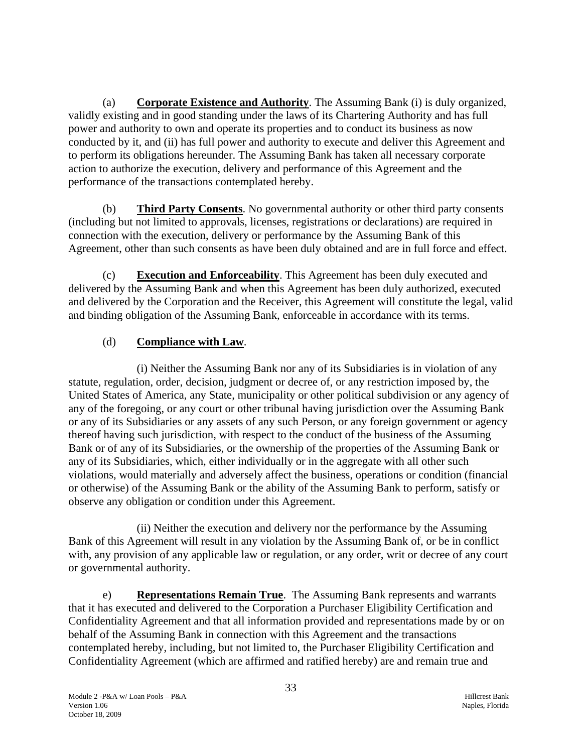(a) **Corporate Existence and Authority**. The Assuming Bank (i) is duly organized, validly existing and in good standing under the laws of its Chartering Authority and has full power and authority to own and operate its properties and to conduct its business as now conducted by it, and (ii) has full power and authority to execute and deliver this Agreement and to perform its obligations hereunder. The Assuming Bank has taken all necessary corporate action to authorize the execution, delivery and performance of this Agreement and the performance of the transactions contemplated hereby.

(b) **Third Party Consents**. No governmental authority or other third party consents (including but not limited to approvals, licenses, registrations or declarations) are required in connection with the execution, delivery or performance by the Assuming Bank of this Agreement, other than such consents as have been duly obtained and are in full force and effect.

(c) **Execution and Enforceability**. This Agreement has been duly executed and delivered by the Assuming Bank and when this Agreement has been duly authorized, executed and delivered by the Corporation and the Receiver, this Agreement will constitute the legal, valid and binding obligation of the Assuming Bank, enforceable in accordance with its terms.

# (d) **Compliance with Law**.

(i) Neither the Assuming Bank nor any of its Subsidiaries is in violation of any statute, regulation, order, decision, judgment or decree of, or any restriction imposed by, the United States of America, any State, municipality or other political subdivision or any agency of any of the foregoing, or any court or other tribunal having jurisdiction over the Assuming Bank or any of its Subsidiaries or any assets of any such Person, or any foreign government or agency thereof having such jurisdiction, with respect to the conduct of the business of the Assuming Bank or of any of its Subsidiaries, or the ownership of the properties of the Assuming Bank or any of its Subsidiaries, which, either individually or in the aggregate with all other such violations, would materially and adversely affect the business, operations or condition (financial or otherwise) of the Assuming Bank or the ability of the Assuming Bank to perform, satisfy or observe any obligation or condition under this Agreement.

(ii) Neither the execution and delivery nor the performance by the Assuming Bank of this Agreement will result in any violation by the Assuming Bank of, or be in conflict with, any provision of any applicable law or regulation, or any order, writ or decree of any court or governmental authority.

e) **Representations Remain True**. The Assuming Bank represents and warrants that it has executed and delivered to the Corporation a Purchaser Eligibility Certification and Confidentiality Agreement and that all information provided and representations made by or on behalf of the Assuming Bank in connection with this Agreement and the transactions contemplated hereby, including, but not limited to, the Purchaser Eligibility Certification and Confidentiality Agreement (which are affirmed and ratified hereby) are and remain true and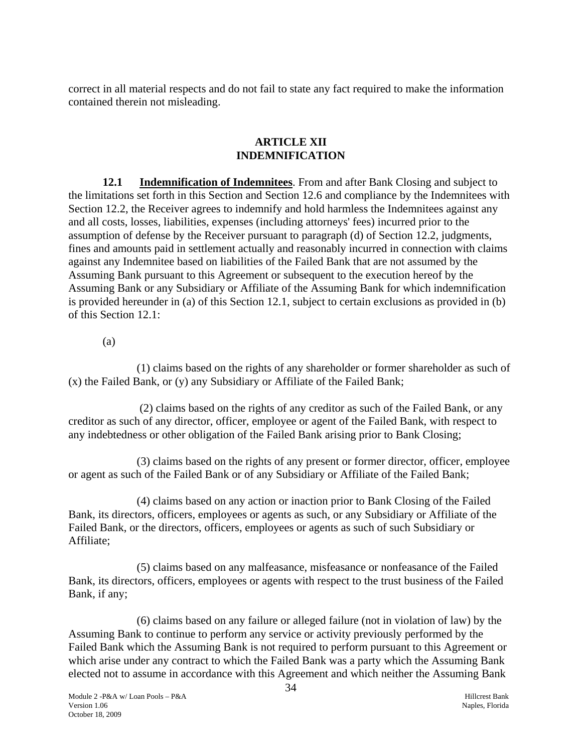correct in all material respects and do not fail to state any fact required to make the information contained therein not misleading.

#### **ARTICLE XII INDEMNIFICATION**

<span id="page-38-1"></span><span id="page-38-0"></span>**12.1 Indemnification of Indemnitees**. From and after Bank Closing and subject to the limitations set forth in this Section and Section 12.6 and compliance by the Indemnitees with Section 12.2, the Receiver agrees to indemnify and hold harmless the Indemnitees against any and all costs, losses, liabilities, expenses (including attorneys' fees) incurred prior to the assumption of defense by the Receiver pursuant to paragraph (d) of Section 12.2, judgments, fines and amounts paid in settlement actually and reasonably incurred in connection with claims against any Indemnitee based on liabilities of the Failed Bank that are not assumed by the Assuming Bank pursuant to this Agreement or subsequent to the execution hereof by the Assuming Bank or any Subsidiary or Affiliate of the Assuming Bank for which indemnification is provided hereunder in (a) of this Section 12.1, subject to certain exclusions as provided in (b) of this Section 12.1:

## (a)

(1) claims based on the rights of any shareholder or former shareholder as such of (x) the Failed Bank, or (y) any Subsidiary or Affiliate of the Failed Bank;

(2) claims based on the rights of any creditor as such of the Failed Bank, or any creditor as such of any director, officer, employee or agent of the Failed Bank, with respect to any indebtedness or other obligation of the Failed Bank arising prior to Bank Closing;

(3) claims based on the rights of any present or former director, officer, employee or agent as such of the Failed Bank or of any Subsidiary or Affiliate of the Failed Bank;

(4) claims based on any action or inaction prior to Bank Closing of the Failed Bank, its directors, officers, employees or agents as such, or any Subsidiary or Affiliate of the Failed Bank, or the directors, officers, employees or agents as such of such Subsidiary or Affiliate;

(5) claims based on any malfeasance, misfeasance or nonfeasance of the Failed Bank, its directors, officers, employees or agents with respect to the trust business of the Failed Bank, if any;

(6) claims based on any failure or alleged failure (not in violation of law) by the Assuming Bank to continue to perform any service or activity previously performed by the Failed Bank which the Assuming Bank is not required to perform pursuant to this Agreement or which arise under any contract to which the Failed Bank was a party which the Assuming Bank elected not to assume in accordance with this Agreement and which neither the Assuming Bank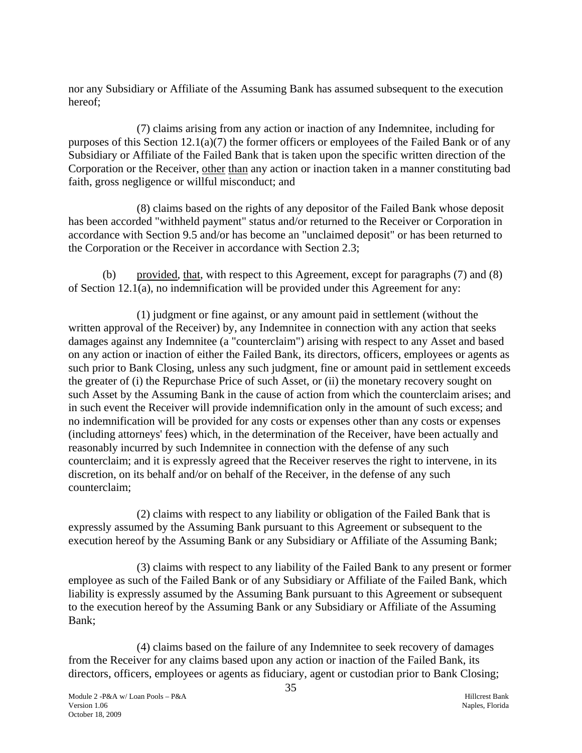nor any Subsidiary or Affiliate of the Assuming Bank has assumed subsequent to the execution hereof;

(7) claims arising from any action or inaction of any Indemnitee, including for purposes of this Section 12.1(a)(7) the former officers or employees of the Failed Bank or of any Subsidiary or Affiliate of the Failed Bank that is taken upon the specific written direction of the Corporation or the Receiver, other than any action or inaction taken in a manner constituting bad faith, gross negligence or willful misconduct; and

(8) claims based on the rights of any depositor of the Failed Bank whose deposit has been accorded "withheld payment" status and/or returned to the Receiver or Corporation in accordance with Section 9.5 and/or has become an "unclaimed deposit" or has been returned to the Corporation or the Receiver in accordance with Section 2.3;

(b) provided, that, with respect to this Agreement, except for paragraphs (7) and (8) of Section 12.1(a), no indemnification will be provided under this Agreement for any:

(1) judgment or fine against, or any amount paid in settlement (without the written approval of the Receiver) by, any Indemnitee in connection with any action that seeks damages against any Indemnitee (a "counterclaim") arising with respect to any Asset and based on any action or inaction of either the Failed Bank, its directors, officers, employees or agents as such prior to Bank Closing, unless any such judgment, fine or amount paid in settlement exceeds the greater of (i) the Repurchase Price of such Asset, or (ii) the monetary recovery sought on such Asset by the Assuming Bank in the cause of action from which the counterclaim arises; and in such event the Receiver will provide indemnification only in the amount of such excess; and no indemnification will be provided for any costs or expenses other than any costs or expenses (including attorneys' fees) which, in the determination of the Receiver, have been actually and reasonably incurred by such Indemnitee in connection with the defense of any such counterclaim; and it is expressly agreed that the Receiver reserves the right to intervene, in its discretion, on its behalf and/or on behalf of the Receiver, in the defense of any such counterclaim;

(2) claims with respect to any liability or obligation of the Failed Bank that is expressly assumed by the Assuming Bank pursuant to this Agreement or subsequent to the execution hereof by the Assuming Bank or any Subsidiary or Affiliate of the Assuming Bank;

(3) claims with respect to any liability of the Failed Bank to any present or former employee as such of the Failed Bank or of any Subsidiary or Affiliate of the Failed Bank, which liability is expressly assumed by the Assuming Bank pursuant to this Agreement or subsequent to the execution hereof by the Assuming Bank or any Subsidiary or Affiliate of the Assuming Bank;

(4) claims based on the failure of any Indemnitee to seek recovery of damages from the Receiver for any claims based upon any action or inaction of the Failed Bank, its directors, officers, employees or agents as fiduciary, agent or custodian prior to Bank Closing;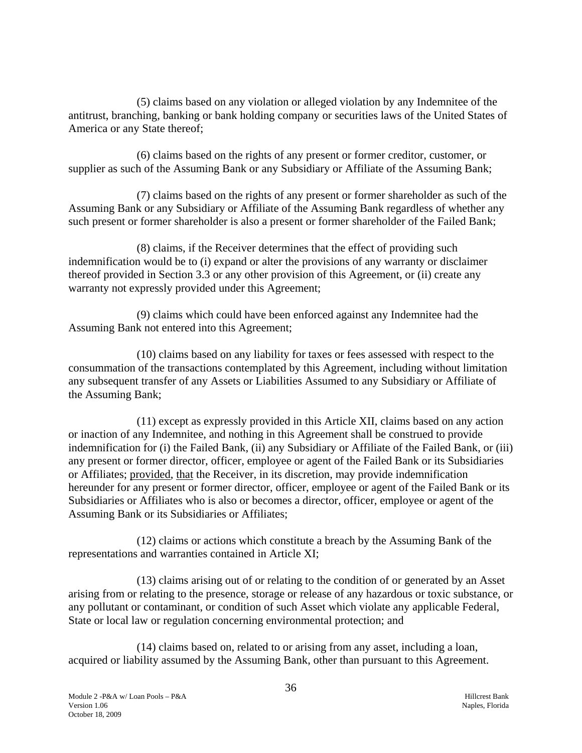(5) claims based on any violation or alleged violation by any Indemnitee of the antitrust, branching, banking or bank holding company or securities laws of the United States of America or any State thereof;

(6) claims based on the rights of any present or former creditor, customer, or supplier as such of the Assuming Bank or any Subsidiary or Affiliate of the Assuming Bank;

(7) claims based on the rights of any present or former shareholder as such of the Assuming Bank or any Subsidiary or Affiliate of the Assuming Bank regardless of whether any such present or former shareholder is also a present or former shareholder of the Failed Bank;

(8) claims, if the Receiver determines that the effect of providing such indemnification would be to (i) expand or alter the provisions of any warranty or disclaimer thereof provided in Section 3.3 or any other provision of this Agreement, or (ii) create any warranty not expressly provided under this Agreement;

(9) claims which could have been enforced against any Indemnitee had the Assuming Bank not entered into this Agreement;

(10) claims based on any liability for taxes or fees assessed with respect to the consummation of the transactions contemplated by this Agreement, including without limitation any subsequent transfer of any Assets or Liabilities Assumed to any Subsidiary or Affiliate of the Assuming Bank;

(11) except as expressly provided in this Article XII, claims based on any action or inaction of any Indemnitee, and nothing in this Agreement shall be construed to provide indemnification for (i) the Failed Bank, (ii) any Subsidiary or Affiliate of the Failed Bank, or (iii) any present or former director, officer, employee or agent of the Failed Bank or its Subsidiaries or Affiliates; provided, that the Receiver, in its discretion, may provide indemnification hereunder for any present or former director, officer, employee or agent of the Failed Bank or its Subsidiaries or Affiliates who is also or becomes a director, officer, employee or agent of the Assuming Bank or its Subsidiaries or Affiliates;

(12) claims or actions which constitute a breach by the Assuming Bank of the representations and warranties contained in Article XI;

(13) claims arising out of or relating to the condition of or generated by an Asset arising from or relating to the presence, storage or release of any hazardous or toxic substance, or any pollutant or contaminant, or condition of such Asset which violate any applicable Federal, State or local law or regulation concerning environmental protection; and

(14) claims based on, related to or arising from any asset, including a loan, acquired or liability assumed by the Assuming Bank, other than pursuant to this Agreement.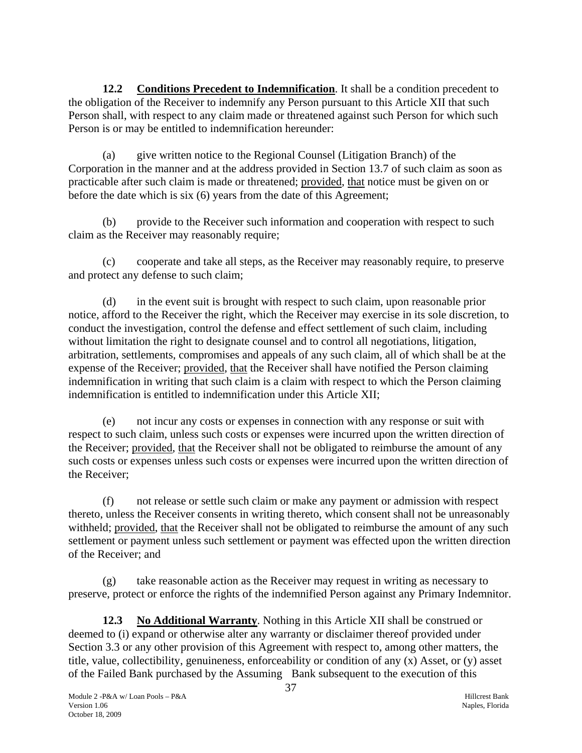<span id="page-41-0"></span> **12.2 Conditions Precedent to Indemnification**. It shall be a condition precedent to the obligation of the Receiver to indemnify any Person pursuant to this Article XII that such Person shall, with respect to any claim made or threatened against such Person for which such Person is or may be entitled to indemnification hereunder:

(a) give written notice to the Regional Counsel (Litigation Branch) of the Corporation in the manner and at the address provided in Section 13.7 of such claim as soon as practicable after such claim is made or threatened; provided, that notice must be given on or before the date which is six (6) years from the date of this Agreement;

(b) provide to the Receiver such information and cooperation with respect to such claim as the Receiver may reasonably require;

(c) cooperate and take all steps, as the Receiver may reasonably require, to preserve and protect any defense to such claim;

(d) in the event suit is brought with respect to such claim, upon reasonable prior notice, afford to the Receiver the right, which the Receiver may exercise in its sole discretion, to conduct the investigation, control the defense and effect settlement of such claim, including without limitation the right to designate counsel and to control all negotiations, litigation, arbitration, settlements, compromises and appeals of any such claim, all of which shall be at the expense of the Receiver; provided, that the Receiver shall have notified the Person claiming indemnification in writing that such claim is a claim with respect to which the Person claiming indemnification is entitled to indemnification under this Article XII;

(e) not incur any costs or expenses in connection with any response or suit with respect to such claim, unless such costs or expenses were incurred upon the written direction of the Receiver; provided, that the Receiver shall not be obligated to reimburse the amount of any such costs or expenses unless such costs or expenses were incurred upon the written direction of the Receiver;

(f) not release or settle such claim or make any payment or admission with respect thereto, unless the Receiver consents in writing thereto, which consent shall not be unreasonably withheld; provided, that the Receiver shall not be obligated to reimburse the amount of any such settlement or payment unless such settlement or payment was effected upon the written direction of the Receiver; and

(g) take reasonable action as the Receiver may request in writing as necessary to preserve, protect or enforce the rights of the indemnified Person against any Primary Indemnitor.

<span id="page-41-1"></span>**12.3 No Additional Warranty**. Nothing in this Article XII shall be construed or deemed to (i) expand or otherwise alter any warranty or disclaimer thereof provided under Section 3.3 or any other provision of this Agreement with respect to, among other matters, the title, value, collectibility, genuineness, enforceability or condition of any (x) Asset, or (y) asset of the Failed Bank purchased by the Assuming Bank subsequent to the execution of this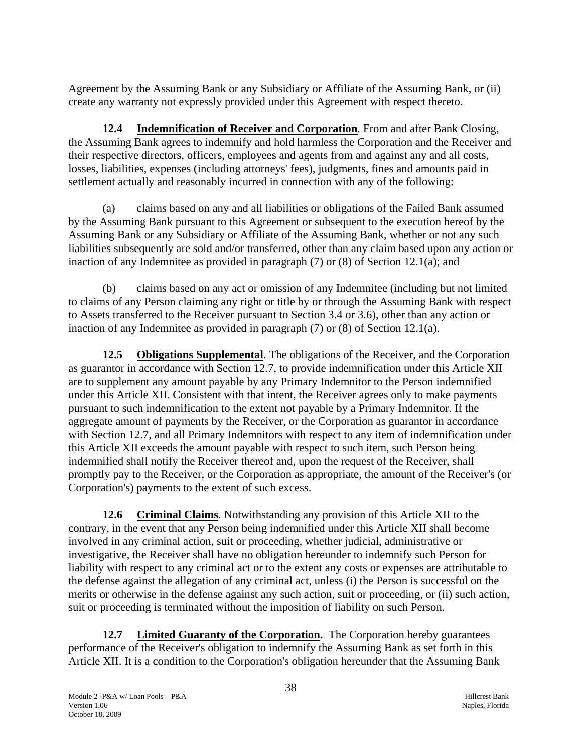Agreement by the Assuming Bank or any Subsidiary or Affiliate of the Assuming Bank, or (ii) create any warranty not expressly provided under this Agreement with respect thereto.

<span id="page-42-0"></span>**12.4 Indemnification of Receiver and Corporation**. From and after Bank Closing, the Assuming Bank agrees to indemnify and hold harmless the Corporation and the Receiver and their respective directors, officers, employees and agents from and against any and all costs, losses, liabilities, expenses (including attorneys' fees), judgments, fines and amounts paid in settlement actually and reasonably incurred in connection with any of the following:

(a) claims based on any and all liabilities or obligations of the Failed Bank assumed by the Assuming Bank pursuant to this Agreement or subsequent to the execution hereof by the Assuming Bank or any Subsidiary or Affiliate of the Assuming Bank, whether or not any such liabilities subsequently are sold and/or transferred, other than any claim based upon any action or inaction of any Indemnitee as provided in paragraph (7) or (8) of Section 12.1(a); and

(b) claims based on any act or omission of any Indemnitee (including but not limited to claims of any Person claiming any right or title by or through the Assuming Bank with respect to Assets transferred to the Receiver pursuant to Section 3.4 or 3.6), other than any action or inaction of any Indemnitee as provided in paragraph (7) or (8) of Section 12.1(a).

<span id="page-42-1"></span>**12.5 Obligations Supplemental**. The obligations of the Receiver, and the Corporation as guarantor in accordance with Section 12.7, to provide indemnification under this Article XII are to supplement any amount payable by any Primary Indemnitor to the Person indemnified under this Article XII. Consistent with that intent, the Receiver agrees only to make payments pursuant to such indemnification to the extent not payable by a Primary Indemnitor. If the aggregate amount of payments by the Receiver, or the Corporation as guarantor in accordance with Section 12.7, and all Primary Indemnitors with respect to any item of indemnification under this Article XII exceeds the amount payable with respect to such item, such Person being indemnified shall notify the Receiver thereof and, upon the request of the Receiver, shall promptly pay to the Receiver, or the Corporation as appropriate, the amount of the Receiver's (or Corporation's) payments to the extent of such excess.

<span id="page-42-2"></span>**12.6 Criminal Claims**. Notwithstanding any provision of this Article XII to the contrary, in the event that any Person being indemnified under this Article XII shall become involved in any criminal action, suit or proceeding, whether judicial, administrative or investigative, the Receiver shall have no obligation hereunder to indemnify such Person for liability with respect to any criminal act or to the extent any costs or expenses are attributable to the defense against the allegation of any criminal act, unless (i) the Person is successful on the merits or otherwise in the defense against any such action, suit or proceeding, or (ii) such action, suit or proceeding is terminated without the imposition of liability on such Person.

<span id="page-42-3"></span>**12.7** Limited Guaranty of the Corporation. The Corporation hereby guarantees performance of the Receiver's obligation to indemnify the Assuming Bank as set forth in this Article XII. It is a condition to the Corporation's obligation hereunder that the Assuming Bank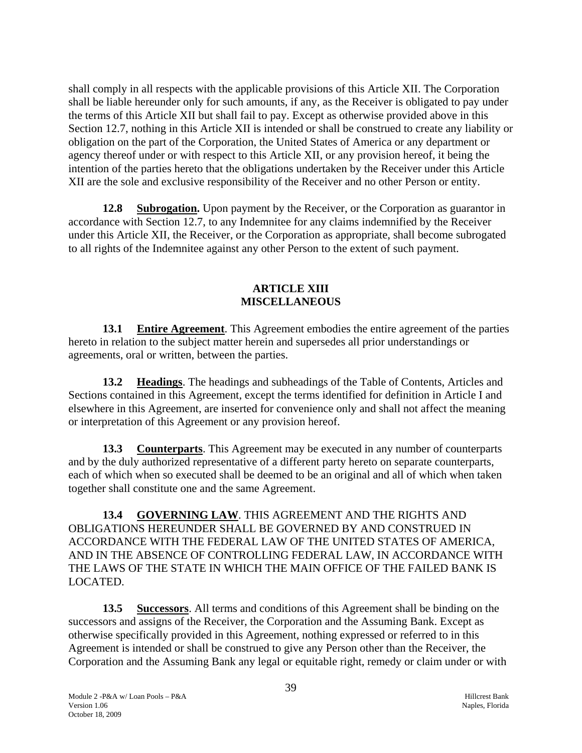shall comply in all respects with the applicable provisions of this Article XII. The Corporation shall be liable hereunder only for such amounts, if any, as the Receiver is obligated to pay under the terms of this Article XII but shall fail to pay. Except as otherwise provided above in this Section 12.7, nothing in this Article XII is intended or shall be construed to create any liability or obligation on the part of the Corporation, the United States of America or any department or agency thereof under or with respect to this Article XII, or any provision hereof, it being the intention of the parties hereto that the obligations undertaken by the Receiver under this Article XII are the sole and exclusive responsibility of the Receiver and no other Person or entity.

<span id="page-43-0"></span>**12.8** Subrogation. Upon payment by the Receiver, or the Corporation as guarantor in accordance with Section 12.7, to any Indemnitee for any claims indemnified by the Receiver under this Article XII, the Receiver, or the Corporation as appropriate, shall become subrogated to all rights of the Indemnitee against any other Person to the extent of such payment.

#### **ARTICLE XIII MISCELLANEOUS**

<span id="page-43-2"></span><span id="page-43-1"></span>**13.1** Entire Agreement. This Agreement embodies the entire agreement of the parties hereto in relation to the subject matter herein and supersedes all prior understandings or agreements, oral or written, between the parties.

<span id="page-43-3"></span>**13.2 Headings**. The headings and subheadings of the Table of Contents, Articles and Sections contained in this Agreement, except the terms identified for definition in Article I and elsewhere in this Agreement, are inserted for convenience only and shall not affect the meaning or interpretation of this Agreement or any provision hereof.

<span id="page-43-4"></span>**13.3 Counterparts**. This Agreement may be executed in any number of counterparts and by the duly authorized representative of a different party hereto on separate counterparts, each of which when so executed shall be deemed to be an original and all of which when taken together shall constitute one and the same Agreement.

<span id="page-43-5"></span>**13.4 GOVERNING LAW**. THIS AGREEMENT AND THE RIGHTS AND OBLIGATIONS HEREUNDER SHALL BE GOVERNED BY AND CONSTRUED IN ACCORDANCE WITH THE FEDERAL LAW OF THE UNITED STATES OF AMERICA, AND IN THE ABSENCE OF CONTROLLING FEDERAL LAW, IN ACCORDANCE WITH THE LAWS OF THE STATE IN WHICH THE MAIN OFFICE OF THE FAILED BANK IS LOCATED.

<span id="page-43-6"></span>**13.5 Successors**. All terms and conditions of this Agreement shall be binding on the successors and assigns of the Receiver, the Corporation and the Assuming Bank. Except as otherwise specifically provided in this Agreement, nothing expressed or referred to in this Agreement is intended or shall be construed to give any Person other than the Receiver, the Corporation and the Assuming Bank any legal or equitable right, remedy or claim under or with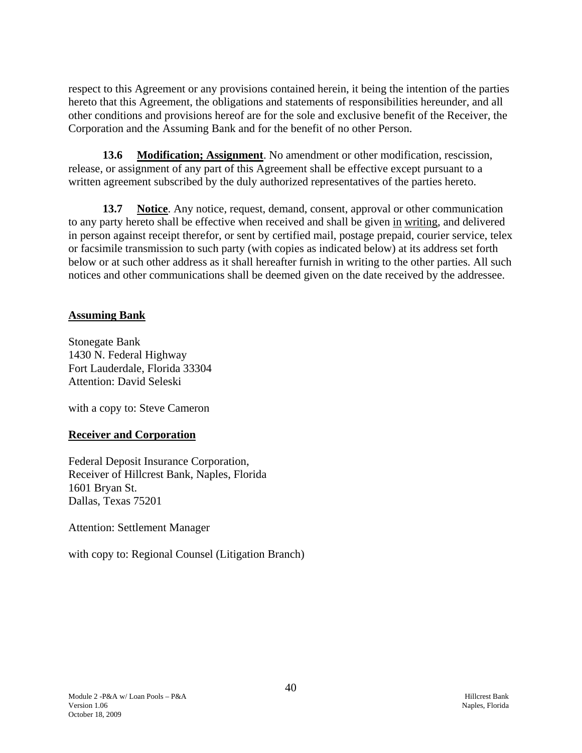respect to this Agreement or any provisions contained herein, it being the intention of the parties hereto that this Agreement, the obligations and statements of responsibilities hereunder, and all other conditions and provisions hereof are for the sole and exclusive benefit of the Receiver, the Corporation and the Assuming Bank and for the benefit of no other Person.

<span id="page-44-0"></span>**13.6 Modification; Assignment**. No amendment or other modification, rescission, release, or assignment of any part of this Agreement shall be effective except pursuant to a written agreement subscribed by the duly authorized representatives of the parties hereto.

<span id="page-44-1"></span>**13.7** Notice. Any notice, request, demand, consent, approval or other communication to any party hereto shall be effective when received and shall be given in writing, and delivered in person against receipt therefor, or sent by certified mail, postage prepaid, courier service, telex or facsimile transmission to such party (with copies as indicated below) at its address set forth below or at such other address as it shall hereafter furnish in writing to the other parties. All such notices and other communications shall be deemed given on the date received by the addressee.

#### **Assuming Bank**

Stonegate Bank 1430 N. Federal Highway Fort Lauderdale, Florida 33304 Attention: David Seleski

with a copy to: Steve Cameron

# **Receiver and Corporation**

Federal Deposit Insurance Corporation, Receiver of Hillcrest Bank, Naples, Florida 1601 Bryan St. Dallas, Texas 75201

Attention: Settlement Manager

with copy to: Regional Counsel (Litigation Branch)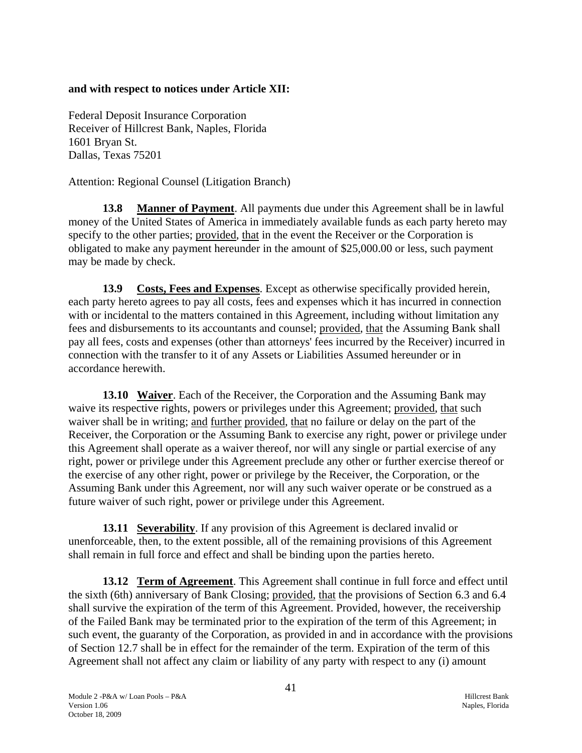## **and with respect to notices under Article XII:**

Federal Deposit Insurance Corporation Receiver of Hillcrest Bank, Naples, Florida 1601 Bryan St. Dallas, Texas 75201

Attention: Regional Counsel (Litigation Branch)

<span id="page-45-0"></span>**13.8 Manner of Payment**. All payments due under this Agreement shall be in lawful money of the United States of America in immediately available funds as each party hereto may specify to the other parties; provided, that in the event the Receiver or the Corporation is obligated to make any payment hereunder in the amount of \$25,000.00 or less, such payment may be made by check.

<span id="page-45-1"></span>**13.9 Costs, Fees and Expenses**. Except as otherwise specifically provided herein, each party hereto agrees to pay all costs, fees and expenses which it has incurred in connection with or incidental to the matters contained in this Agreement, including without limitation any fees and disbursements to its accountants and counsel; provided, that the Assuming Bank shall pay all fees, costs and expenses (other than attorneys' fees incurred by the Receiver) incurred in connection with the transfer to it of any Assets or Liabilities Assumed hereunder or in accordance herewith.

<span id="page-45-2"></span>**13.10 Waiver**. Each of the Receiver, the Corporation and the Assuming Bank may waive its respective rights, powers or privileges under this Agreement; provided, that such waiver shall be in writing; and further provided, that no failure or delay on the part of the Receiver, the Corporation or the Assuming Bank to exercise any right, power or privilege under this Agreement shall operate as a waiver thereof, nor will any single or partial exercise of any right, power or privilege under this Agreement preclude any other or further exercise thereof or the exercise of any other right, power or privilege by the Receiver, the Corporation, or the Assuming Bank under this Agreement, nor will any such waiver operate or be construed as a future waiver of such right, power or privilege under this Agreement.

<span id="page-45-3"></span>**13.11 Severability**. If any provision of this Agreement is declared invalid or unenforceable, then, to the extent possible, all of the remaining provisions of this Agreement shall remain in full force and effect and shall be binding upon the parties hereto.

<span id="page-45-4"></span>**13.12 Term of Agreement**. This Agreement shall continue in full force and effect until the sixth (6th) anniversary of Bank Closing; provided, that the provisions of Section 6.3 and 6.4 shall survive the expiration of the term of this Agreement. Provided, however, the receivership of the Failed Bank may be terminated prior to the expiration of the term of this Agreement; in such event, the guaranty of the Corporation, as provided in and in accordance with the provisions of Section 12.7 shall be in effect for the remainder of the term. Expiration of the term of this Agreement shall not affect any claim or liability of any party with respect to any (i) amount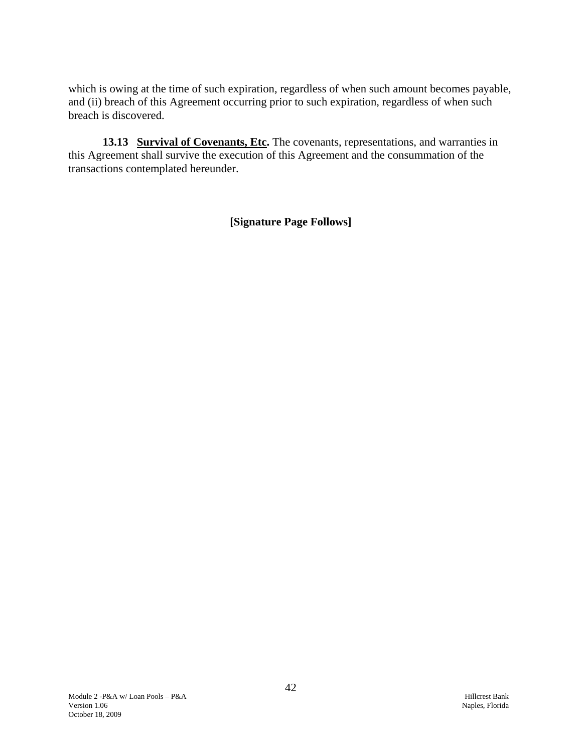which is owing at the time of such expiration, regardless of when such amount becomes payable, and (ii) breach of this Agreement occurring prior to such expiration, regardless of when such breach is discovered.

<span id="page-46-0"></span>**13.13 Survival of Covenants, Etc.** The covenants, representations, and warranties in this Agreement shall survive the execution of this Agreement and the consummation of the transactions contemplated hereunder.

**[Signature Page Follows]**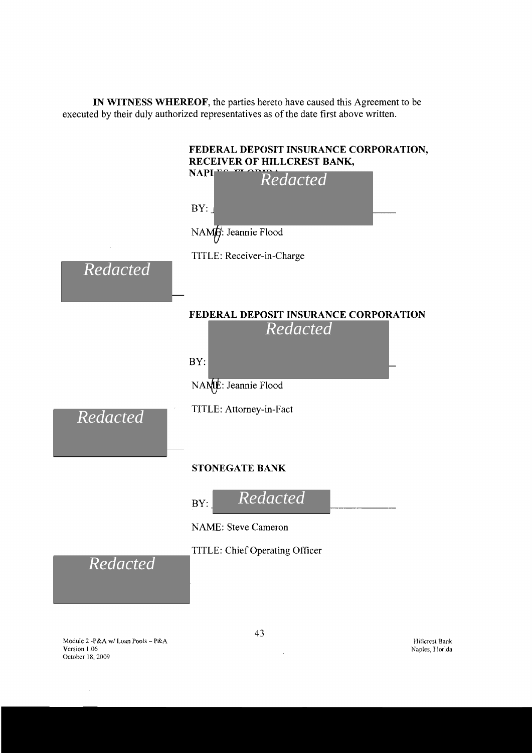**IN WITNESS WHEREOF,** the parties hereto have caused this Agreement to be executed by their duly authorized representatives as of the date first above written.

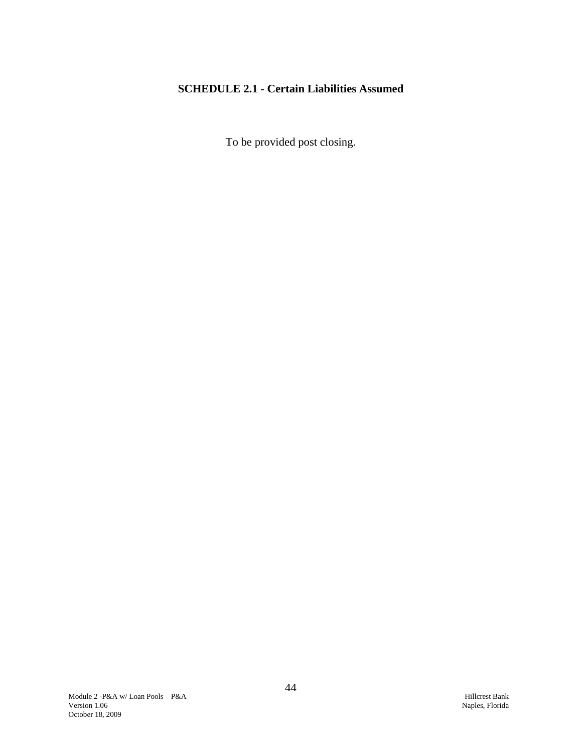# <span id="page-48-0"></span>**SCHEDULE 2.1 - Certain Liabilities Assumed**

To be provided post closing.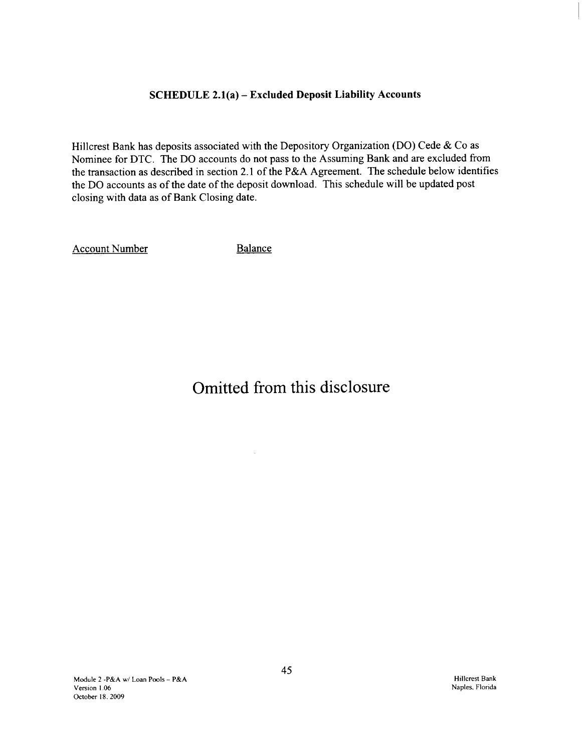#### SCHEDULE 2.1(a) - Excluded Deposit Liabilty Accounts

Hillcrest Bank has deposits associated with the Depository Organization (DO) Cede & Co as Nominee for DTC. The DO accounts do not pass to the Assuming Bank and are excluded from the transaction as described in section 2.1 of the P&A Agreement. The schedule below identifies the DO accounts as of the date of the deposit download. This schedule will be updated post closing with data as of Bank Closing date.

Account Number Balance

 $\sim$ 

# Omitted from this disclosure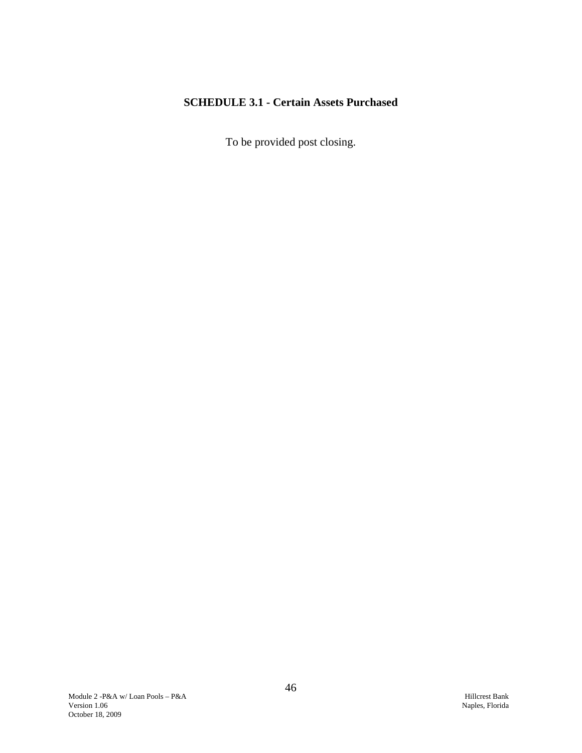# <span id="page-50-0"></span>**SCHEDULE 3.1 - Certain Assets Purchased**

To be provided post closing.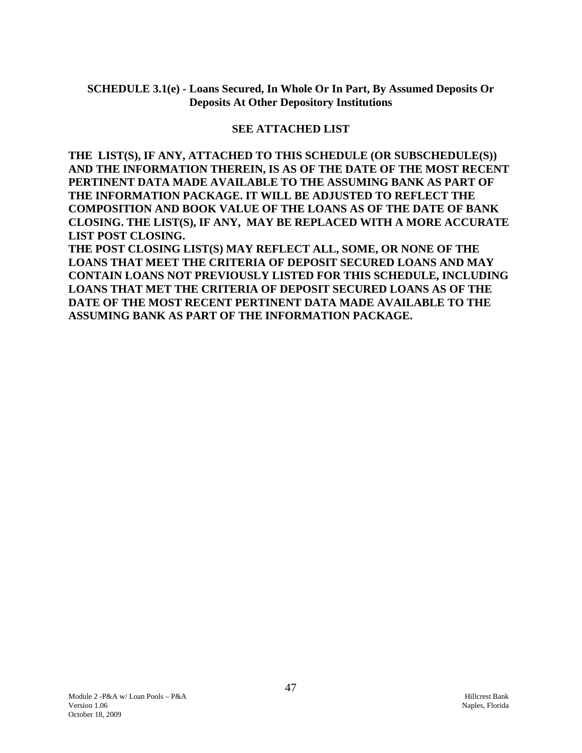<span id="page-51-0"></span>**SCHEDULE 3.1(e) - Loans Secured, In Whole Or In Part, By Assumed Deposits Or Deposits At Other Depository Institutions** 

## **SEE ATTACHED LIST**

**THE LIST(S), IF ANY, ATTACHED TO THIS SCHEDULE (OR SUBSCHEDULE(S)) AND THE INFORMATION THEREIN, IS AS OF THE DATE OF THE MOST RECENT PERTINENT DATA MADE AVAILABLE TO THE ASSUMING BANK AS PART OF THE INFORMATION PACKAGE. IT WILL BE ADJUSTED TO REFLECT THE COMPOSITION AND BOOK VALUE OF THE LOANS AS OF THE DATE OF BANK CLOSING. THE LIST(S), IF ANY, MAY BE REPLACED WITH A MORE ACCURATE LIST POST CLOSING.** 

**THE POST CLOSING LIST(S) MAY REFLECT ALL, SOME, OR NONE OF THE LOANS THAT MEET THE CRITERIA OF DEPOSIT SECURED LOANS AND MAY CONTAIN LOANS NOT PREVIOUSLY LISTED FOR THIS SCHEDULE, INCLUDING LOANS THAT MET THE CRITERIA OF DEPOSIT SECURED LOANS AS OF THE DATE OF THE MOST RECENT PERTINENT DATA MADE AVAILABLE TO THE ASSUMING BANK AS PART OF THE INFORMATION PACKAGE.**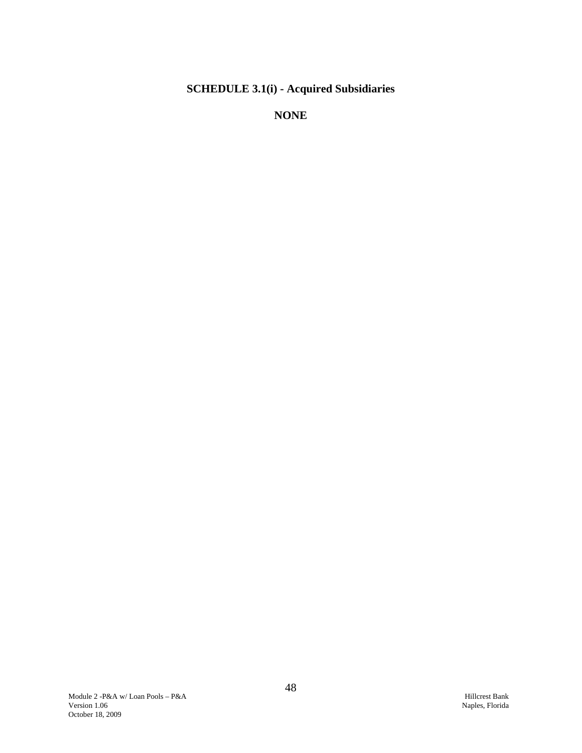<span id="page-52-0"></span>**SCHEDULE 3.1(i) - Acquired Subsidiaries** 

**NONE**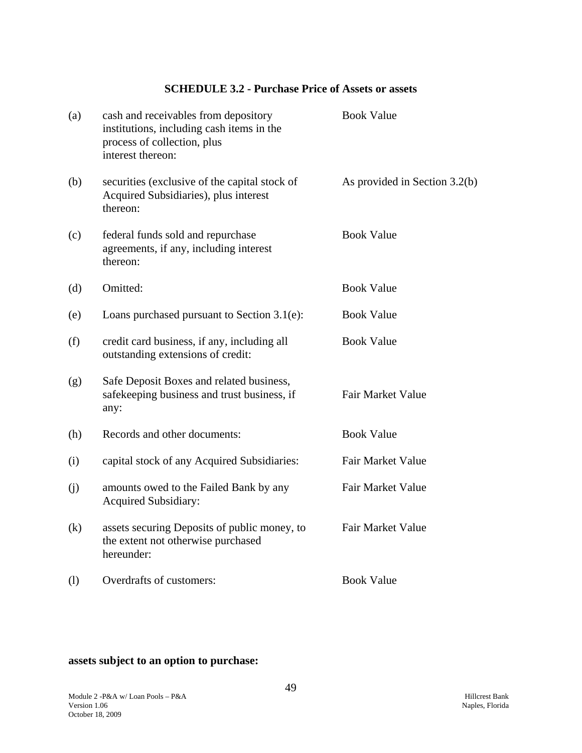## **SCHEDULE 3.2 - Purchase Price of Assets or assets**

<span id="page-53-0"></span>

| (a) | cash and receivables from depository<br>institutions, including cash items in the<br>process of collection, plus<br>interest thereon: | <b>Book Value</b>             |
|-----|---------------------------------------------------------------------------------------------------------------------------------------|-------------------------------|
| (b) | securities (exclusive of the capital stock of<br>Acquired Subsidiaries), plus interest<br>thereon:                                    | As provided in Section 3.2(b) |
| (c) | federal funds sold and repurchase<br>agreements, if any, including interest<br>thereon:                                               | <b>Book Value</b>             |
| (d) | Omitted:                                                                                                                              | <b>Book Value</b>             |
| (e) | Loans purchased pursuant to Section 3.1(e):                                                                                           | <b>Book Value</b>             |
| (f) | credit card business, if any, including all<br>outstanding extensions of credit:                                                      | <b>Book Value</b>             |
| (g) | Safe Deposit Boxes and related business,<br>safekeeping business and trust business, if<br>any:                                       | Fair Market Value             |
| (h) | Records and other documents:                                                                                                          | <b>Book Value</b>             |
| (i) | capital stock of any Acquired Subsidiaries:                                                                                           | Fair Market Value             |
| (j) | amounts owed to the Failed Bank by any<br><b>Acquired Subsidiary:</b>                                                                 | Fair Market Value             |
| (k) | assets securing Deposits of public money, to<br>the extent not otherwise purchased<br>hereunder:                                      | Fair Market Value             |
| (1) | Overdrafts of customers:                                                                                                              | <b>Book Value</b>             |

# **assets subject to an option to purchase:**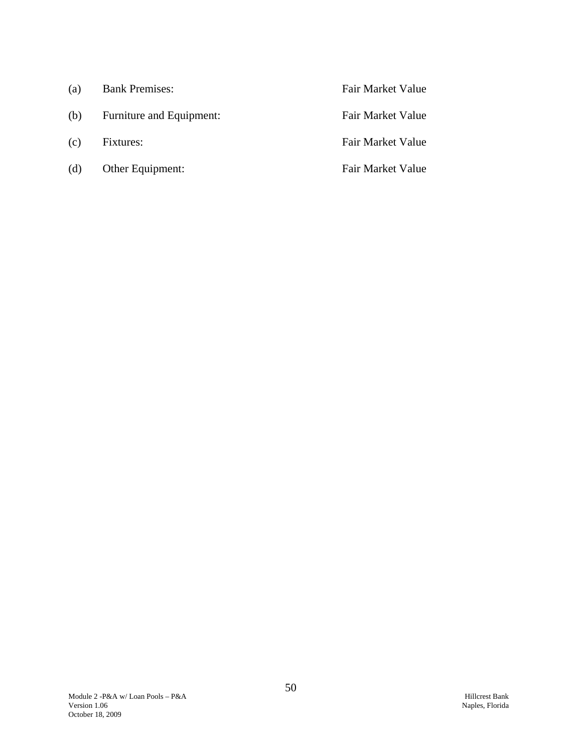| (a) | <b>Bank Premises:</b>    | Fair Market Value        |
|-----|--------------------------|--------------------------|
| (b) | Furniture and Equipment: | Fair Market Value        |
| (c) | Fixtures:                | <b>Fair Market Value</b> |
| (d) | Other Equipment:         | <b>Fair Market Value</b> |
|     |                          |                          |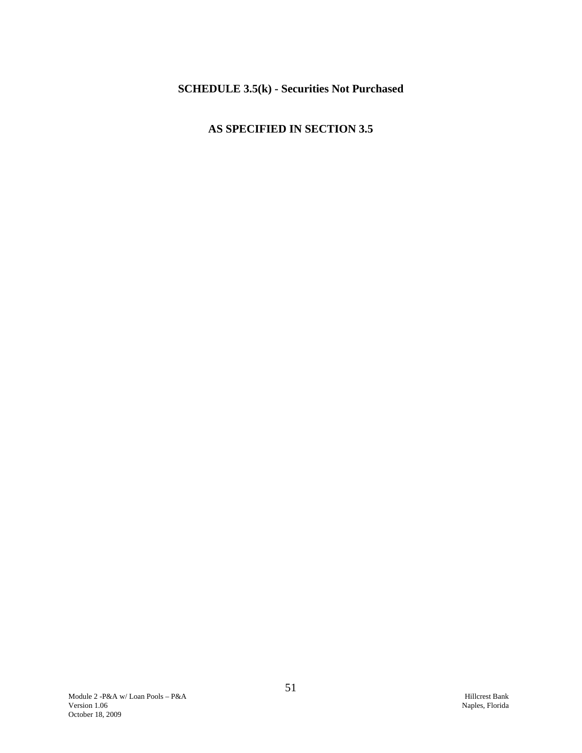# <span id="page-55-0"></span>**SCHEDULE 3.5(k) - Securities Not Purchased**

# **AS SPECIFIED IN SECTION 3.5**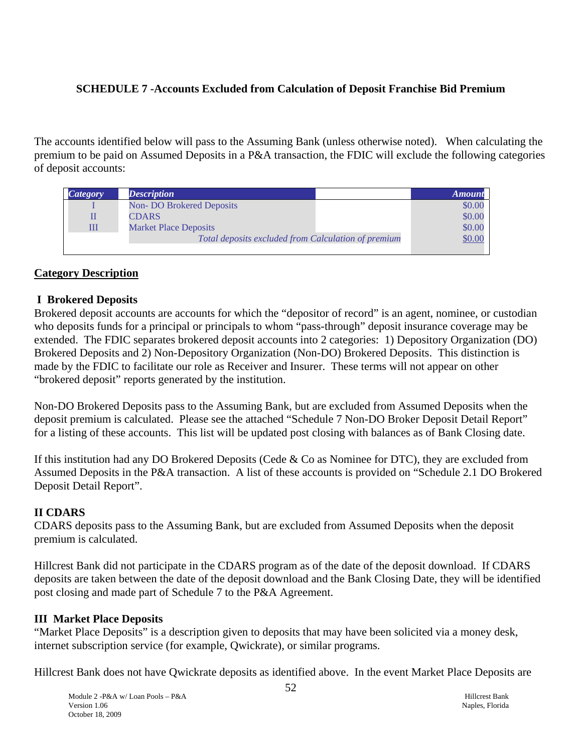# **SCHEDULE 7 -Accounts Excluded from Calculation of Deposit Franchise Bid Premium**

The accounts identified below will pass to the Assuming Bank (unless otherwise noted). When calculating the premium to be paid on Assumed Deposits in a P&A transaction, the FDIC will exclude the following categories of deposit accounts:

| <i>Category</i> | <b>Description</b>                                  | <b>Amount</b> |
|-----------------|-----------------------------------------------------|---------------|
|                 | Non-DO Brokered Deposits                            | \$0.00        |
|                 | <b>CDARS</b>                                        | \$0.00        |
| Ш               | <b>Market Place Deposits</b>                        | \$0.00        |
|                 | Total deposits excluded from Calculation of premium | \$0.00        |
|                 |                                                     |               |

## **Category Description**

#### **I Brokered Deposits**

Brokered deposit accounts are accounts for which the "depositor of record" is an agent, nominee, or custodian who deposits funds for a principal or principals to whom "pass-through" deposit insurance coverage may be extended. The FDIC separates brokered deposit accounts into 2 categories: 1) Depository Organization (DO) Brokered Deposits and 2) Non-Depository Organization (Non-DO) Brokered Deposits. This distinction is made by the FDIC to facilitate our role as Receiver and Insurer. These terms will not appear on other "brokered deposit" reports generated by the institution.

Non-DO Brokered Deposits pass to the Assuming Bank, but are excluded from Assumed Deposits when the deposit premium is calculated. Please see the attached "Schedule 7 Non-DO Broker Deposit Detail Report" for a listing of these accounts. This list will be updated post closing with balances as of Bank Closing date.

If this institution had any DO Brokered Deposits (Cede & Co as Nominee for DTC), they are excluded from Assumed Deposits in the P&A transaction. A list of these accounts is provided on "Schedule 2.1 DO Brokered Deposit Detail Report".

#### **II CDARS**

CDARS deposits pass to the Assuming Bank, but are excluded from Assumed Deposits when the deposit premium is calculated.

Hillcrest Bank did not participate in the CDARS program as of the date of the deposit download. If CDARS deposits are taken between the date of the deposit download and the Bank Closing Date, they will be identified post closing and made part of Schedule 7 to the P&A Agreement.

#### **III Market Place Deposits**

"Market Place Deposits" is a description given to deposits that may have been solicited via a money desk, internet subscription service (for example, Qwickrate), or similar programs.

Hillcrest Bank does not have Qwickrate deposits as identified above. In the event Market Place Deposits are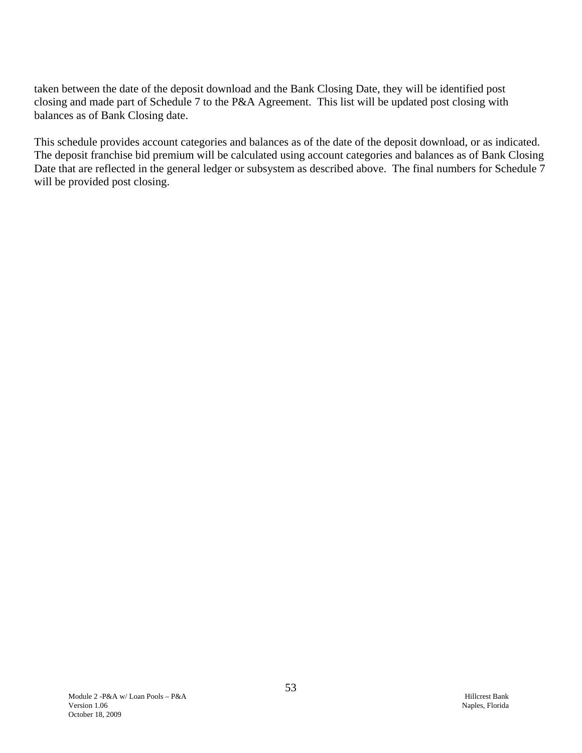taken between the date of the deposit download and the Bank Closing Date, they will be identified post closing and made part of Schedule 7 to the P&A Agreement. This list will be updated post closing with balances as of Bank Closing date.

This schedule provides account categories and balances as of the date of the deposit download, or as indicated. The deposit franchise bid premium will be calculated using account categories and balances as of Bank Closing Date that are reflected in the general ledger or subsystem as described above. The final numbers for Schedule 7 will be provided post closing.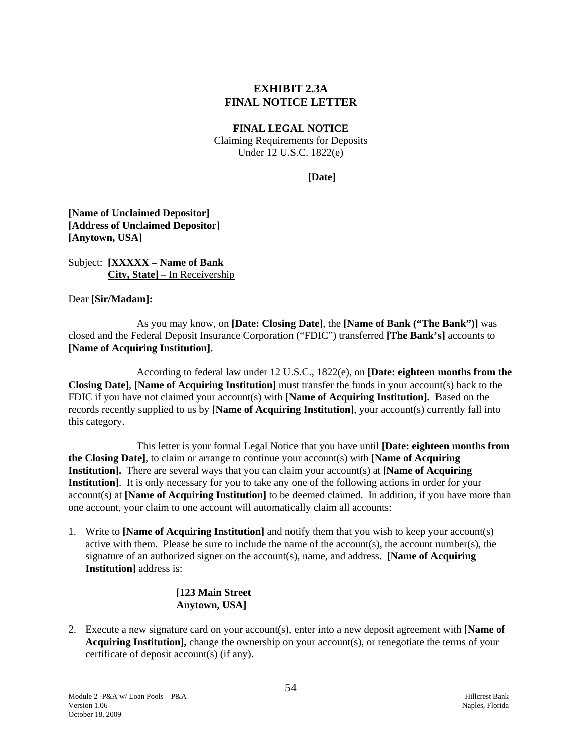## **EXHIBIT 2.3A FINAL NOTICE LETTER**

#### **FINAL LEGAL NOTICE**

Claiming Requirements for Deposits Under 12 U.S.C. 1822(e)

**[Date]** 

**[Name of Unclaimed Depositor] [Address of Unclaimed Depositor] [Anytown, USA]** 

Subject: **[XXXXX – Name of Bank City, State]** – In Receivership

Dear **[Sir/Madam]:** 

As you may know, on **[Date: Closing Date]**, the **[Name of Bank ("The Bank")]** was closed and the Federal Deposit Insurance Corporation ("FDIC") transferred **[The Bank's]** accounts to **[Name of Acquiring Institution].** 

According to federal law under 12 U.S.C., 1822(e), on **[Date: eighteen months from the Closing Date]**, **[Name of Acquiring Institution]** must transfer the funds in your account(s) back to the FDIC if you have not claimed your account(s) with **[Name of Acquiring Institution].** Based on the records recently supplied to us by **[Name of Acquiring Institution]**, your account(s) currently fall into this category.

This letter is your formal Legal Notice that you have until **[Date: eighteen months from the Closing Date]**, to claim or arrange to continue your account(s) with **[Name of Acquiring Institution].** There are several ways that you can claim your account(s) at **[Name of Acquiring Institution**]. It is only necessary for you to take any one of the following actions in order for your account(s) at **[Name of Acquiring Institution]** to be deemed claimed. In addition, if you have more than one account, your claim to one account will automatically claim all accounts:

1. Write to **[Name of Acquiring Institution]** and notify them that you wish to keep your account(s) active with them. Please be sure to include the name of the  $account(s)$ , the  $account number(s)$ , the signature of an authorized signer on the account(s), name, and address. **[Name of Acquiring Institution]** address is:

#### **[123 Main Street Anytown, USA]**

2. Execute a new signature card on your account(s), enter into a new deposit agreement with **[Name of Acquiring Institution],** change the ownership on your account(s), or renegotiate the terms of your certificate of deposit account(s) (if any).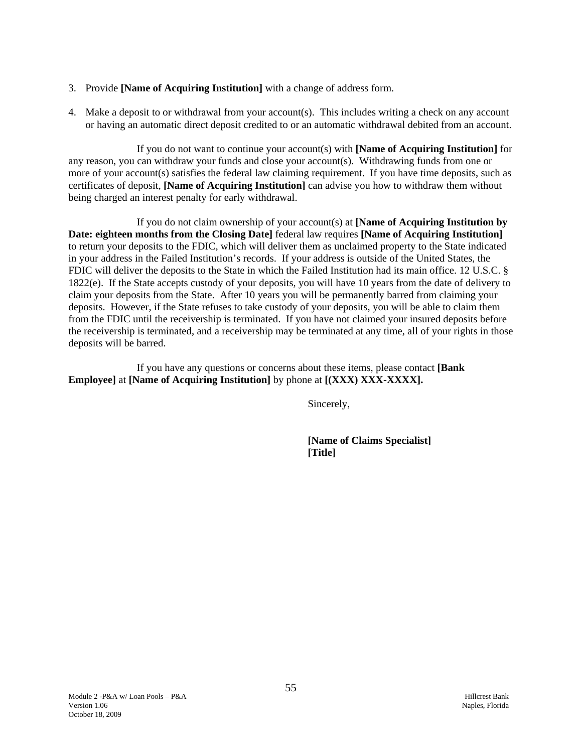- 3. Provide **[Name of Acquiring Institution]** with a change of address form.
- 4. Make a deposit to or withdrawal from your account(s). This includes writing a check on any account or having an automatic direct deposit credited to or an automatic withdrawal debited from an account.

If you do not want to continue your account(s) with **[Name of Acquiring Institution]** for any reason, you can withdraw your funds and close your account(s). Withdrawing funds from one or more of your account(s) satisfies the federal law claiming requirement. If you have time deposits, such as certificates of deposit, **[Name of Acquiring Institution]** can advise you how to withdraw them without being charged an interest penalty for early withdrawal.

If you do not claim ownership of your account(s) at **[Name of Acquiring Institution by Date: eighteen months from the Closing Date]** federal law requires **[Name of Acquiring Institution]**  to return your deposits to the FDIC, which will deliver them as unclaimed property to the State indicated in your address in the Failed Institution's records. If your address is outside of the United States, the FDIC will deliver the deposits to the State in which the Failed Institution had its main office. 12 U.S.C. § 1822(e). If the State accepts custody of your deposits, you will have 10 years from the date of delivery to claim your deposits from the State. After 10 years you will be permanently barred from claiming your deposits. However, if the State refuses to take custody of your deposits, you will be able to claim them from the FDIC until the receivership is terminated. If you have not claimed your insured deposits before the receivership is terminated, and a receivership may be terminated at any time, all of your rights in those deposits will be barred.

If you have any questions or concerns about these items, please contact **[Bank Employee]** at **[Name of Acquiring Institution]** by phone at **[(XXX) XXX-XXXX].** 

Sincerely,

**[Name of Claims Specialist] [Title]**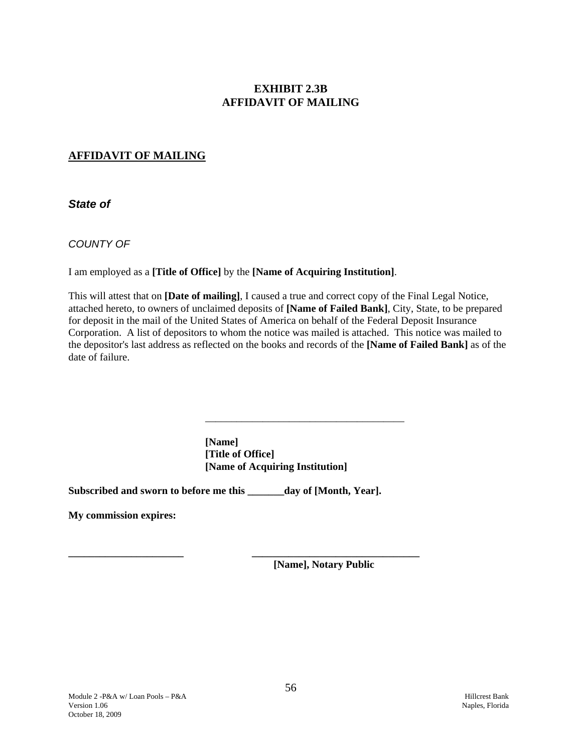# **EXHIBIT 2.3B AFFIDAVIT OF MAILING**

#### **AFFIDAVIT OF MAILING**

*State of* 

*COUNTY OF* 

I am employed as a **[Title of Office]** by the **[Name of Acquiring Institution]**.

This will attest that on **[Date of mailing]**, I caused a true and correct copy of the Final Legal Notice, attached hereto, to owners of unclaimed deposits of **[Name of Failed Bank]**, City, State, to be prepared for deposit in the mail of the United States of America on behalf of the Federal Deposit Insurance Corporation. A list of depositors to whom the notice was mailed is attached. This notice was mailed to the depositor's last address as reflected on the books and records of the **[Name of Failed Bank]** as of the date of failure.

> **[Name] [Title of Office] [Name of Acquiring Institution]**

**Subscribed and sworn to before me this \_\_\_\_\_\_\_day of [Month, Year].** 

**\_\_\_\_\_\_\_\_\_\_\_\_\_\_\_\_\_\_\_\_\_\_ \_\_\_\_\_\_\_\_\_\_\_\_\_\_\_\_\_\_\_\_\_\_\_\_\_\_\_\_\_\_\_\_** 

 $\overline{\phantom{a}}$  ,  $\overline{\phantom{a}}$  ,  $\overline{\phantom{a}}$  ,  $\overline{\phantom{a}}$  ,  $\overline{\phantom{a}}$  ,  $\overline{\phantom{a}}$  ,  $\overline{\phantom{a}}$  ,  $\overline{\phantom{a}}$  ,  $\overline{\phantom{a}}$  ,  $\overline{\phantom{a}}$  ,  $\overline{\phantom{a}}$  ,  $\overline{\phantom{a}}$  ,  $\overline{\phantom{a}}$  ,  $\overline{\phantom{a}}$  ,  $\overline{\phantom{a}}$  ,  $\overline{\phantom{a}}$ 

**My commission expires:** 

 **[Name], Notary Public**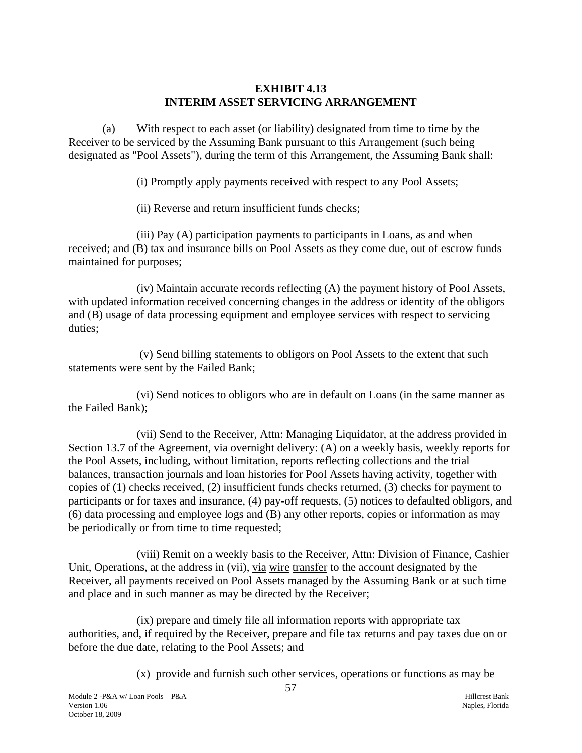## **EXHIBIT 4.13 INTERIM ASSET SERVICING ARRANGEMENT**

<span id="page-61-0"></span>(a) With respect to each asset (or liability) designated from time to time by the Receiver to be serviced by the Assuming Bank pursuant to this Arrangement (such being designated as "Pool Assets"), during the term of this Arrangement, the Assuming Bank shall:

(i) Promptly apply payments received with respect to any Pool Assets;

(ii) Reverse and return insufficient funds checks;

(iii) Pay (A) participation payments to participants in Loans, as and when received; and (B) tax and insurance bills on Pool Assets as they come due, out of escrow funds maintained for purposes;

(iv) Maintain accurate records reflecting (A) the payment history of Pool Assets, with updated information received concerning changes in the address or identity of the obligors and (B) usage of data processing equipment and employee services with respect to servicing duties;

(v) Send billing statements to obligors on Pool Assets to the extent that such statements were sent by the Failed Bank;

(vi) Send notices to obligors who are in default on Loans (in the same manner as the Failed Bank);

(vii) Send to the Receiver, Attn: Managing Liquidator, at the address provided in Section 13.7 of the Agreement, via overnight delivery: (A) on a weekly basis, weekly reports for the Pool Assets, including, without limitation, reports reflecting collections and the trial balances, transaction journals and loan histories for Pool Assets having activity, together with copies of (1) checks received, (2) insufficient funds checks returned, (3) checks for payment to participants or for taxes and insurance, (4) pay-off requests, (5) notices to defaulted obligors, and (6) data processing and employee logs and (B) any other reports, copies or information as may be periodically or from time to time requested;

(viii) Remit on a weekly basis to the Receiver, Attn: Division of Finance, Cashier Unit, Operations, at the address in (vii), via wire transfer to the account designated by the Receiver, all payments received on Pool Assets managed by the Assuming Bank or at such time and place and in such manner as may be directed by the Receiver;

(ix) prepare and timely file all information reports with appropriate tax authorities, and, if required by the Receiver, prepare and file tax returns and pay taxes due on or before the due date, relating to the Pool Assets; and

(x) provide and furnish such other services, operations or functions as may be